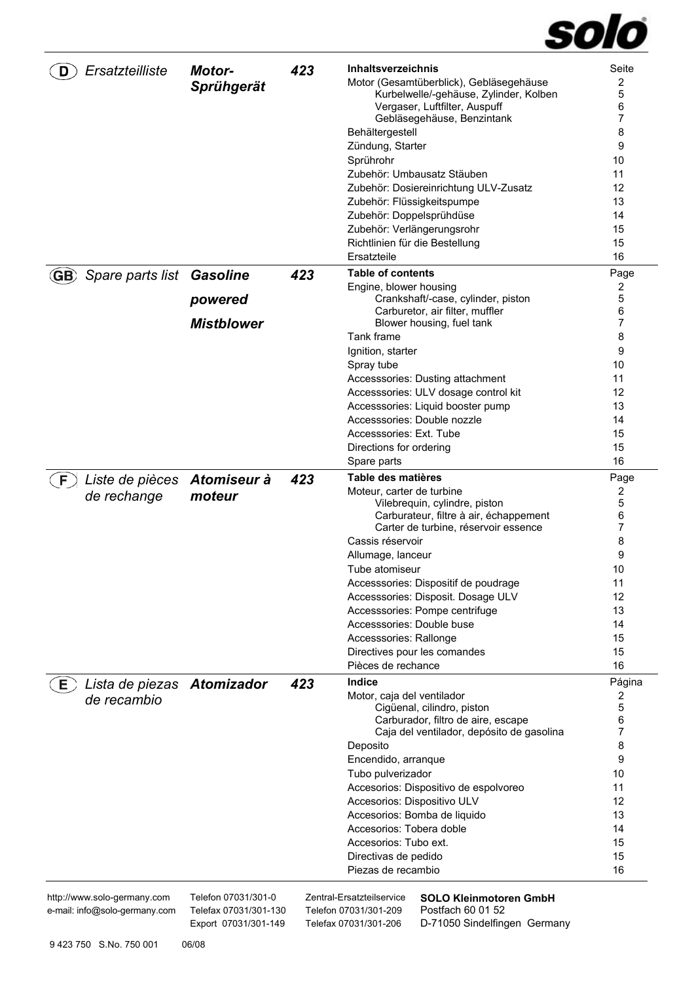# solo

| Ersatzteilliste                                              | <b>Motor-</b><br>Sprühgerät                  | 423 | <b>Inhaltsverzeichnis</b><br>Motor (Gesamtüberblick), Gebläsegehäuse<br>Kurbelwelle/-gehäuse, Zylinder, Kolben<br>Vergaser, Luftfilter, Auspuff<br>Gebläsegehäuse, Benzintank<br>Behältergestell<br>Zündung, Starter<br>Sprührohr<br>Zubehör: Umbausatz Stäuben<br>Zubehör: Dosiereinrichtung ULV-Zusatz<br>Zubehör: Flüssigkeitspumpe<br>Zubehör: Doppelsprühdüse<br>Zubehör: Verlängerungsrohr<br>Richtlinien für die Bestellung<br>Ersatzteile          | Seite<br>2<br>5<br>6<br>7<br>8<br>9<br>10<br>11<br>12<br>13<br>14<br>15<br>15<br>16  |
|--------------------------------------------------------------|----------------------------------------------|-----|------------------------------------------------------------------------------------------------------------------------------------------------------------------------------------------------------------------------------------------------------------------------------------------------------------------------------------------------------------------------------------------------------------------------------------------------------------|--------------------------------------------------------------------------------------|
| Spare parts list Gasoline<br>(GB)                            | powered<br><b>Mistblower</b>                 | 423 | <b>Table of contents</b><br>Engine, blower housing<br>Crankshaft/-case, cylinder, piston<br>Carburetor, air filter, muffler<br>Blower housing, fuel tank<br>Tank frame<br>Ignition, starter<br>Spray tube<br>Accesssories: Dusting attachment<br>Accesssories: ULV dosage control kit<br>Accesssories: Liquid booster pump<br>Accesssories: Double nozzle<br>Accesssories: Ext. Tube<br>Directions for ordering<br>Spare parts                             | Page<br>2<br>5<br>6<br>7<br>8<br>9<br>10<br>11<br>12<br>13<br>14<br>15<br>15<br>16   |
| Liste de pièces<br>F.<br>de rechange                         | Atomiseur à<br>moteur                        | 423 | Table des matières<br>Moteur, carter de turbine<br>Vilebrequin, cylindre, piston<br>Carburateur, filtre à air, échappement<br>Carter de turbine, réservoir essence<br>Cassis réservoir<br>Allumage, lanceur<br>Tube atomiseur<br>Accesssories: Dispositif de poudrage<br>Accesssories: Disposit. Dosage ULV<br>Accesssories: Pompe centrifuge<br>Accesssories: Double buse<br>Accesssories: Rallonge<br>Directives pour les comandes<br>Pièces de rechance | Page<br>2<br>5<br>6<br>7<br>8<br>9<br>10<br>11<br>12<br>13<br>14<br>15<br>15<br>16   |
| Lista de piezas Atomizador<br>Е,<br>de recambio              |                                              | 423 | <b>Indice</b><br>Motor, caja del ventilador<br>Cigüenal, cilindro, piston<br>Carburador, filtro de aire, escape<br>Caja del ventilador, depósito de gasolina<br>Deposito<br>Encendido, arranque<br>Tubo pulverizador<br>Accesorios: Dispositivo de espolvoreo<br>Accesorios: Dispositivo ULV<br>Accesorios: Bomba de liquido<br>Accesorios: Tobera doble<br>Accesorios: Tubo ext.<br>Directivas de pedido<br>Piezas de recambio                            | Página<br>2<br>5<br>6<br>7<br>8<br>9<br>10<br>11<br>12<br>13<br>14<br>15<br>15<br>16 |
| http://www.solo-germany.com<br>e-mail: info@solo-germany.com | Telefon 07031/301-0<br>Telefax 07031/301-130 |     | Zentral-Ersatzteilservice<br><b>SOLO Kleinmotoren GmbH</b><br>Postfach 60 01 52<br>Telefon 07031/301-209                                                                                                                                                                                                                                                                                                                                                   |                                                                                      |

Export 07031/301-149 Telefax 07031/301-206 D-71050 Sindelfingen Germany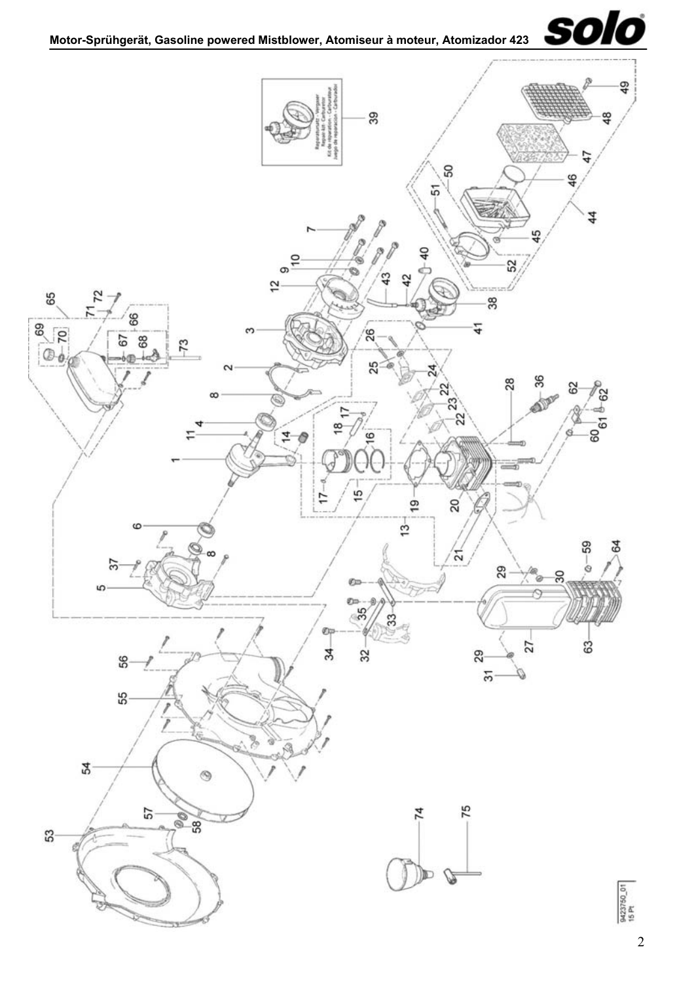

<span id="page-1-1"></span><span id="page-1-0"></span>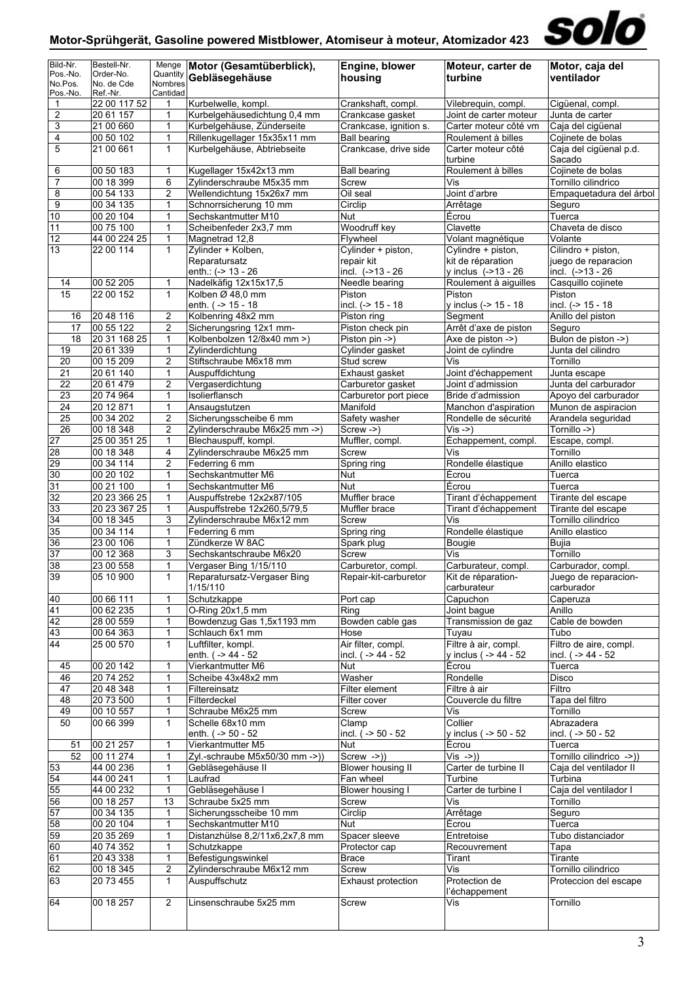

| Bild-Nr.                           | Bestell-Nr.               | Menge                          | Motor (Gesamtüberblick),                                   | Engine, blower                             | Moteur, carter de                               | Motor, caja del                                    |
|------------------------------------|---------------------------|--------------------------------|------------------------------------------------------------|--------------------------------------------|-------------------------------------------------|----------------------------------------------------|
| Pos.-No.<br>No.Pos.                | Order-No.<br>No. de Cde   | Quantity<br>Nombres            | Gebläsegehäuse                                             | housing                                    | turbine                                         | ventilador                                         |
| Pos.-No.                           | Ref.-Nr.                  | Cantidad                       |                                                            |                                            |                                                 |                                                    |
| 1                                  | 22 00 117 52              | 1                              | Kurbelwelle, kompl.                                        | Crankshaft, compl.                         | Vilebrequin, compl.                             | Cigüenal, compl.                                   |
| 2<br>3                             | 20 61 157<br>21 00 660    | 1<br>1                         | Kurbelgehäusedichtung 0,4 mm<br>Kurbelgehäuse, Zünderseite | Crankcase gasket<br>Crankcase, ignition s. | Joint de carter moteur<br>Carter moteur côté vm | Junta de carter<br>Caja del cigüenal               |
| 4                                  | 00 50 102                 | $\mathbf{1}$                   | Rillenkugellager 15x35x11 mm                               | Ball bearing                               | Roulement à billes                              | Cojinete de bolas                                  |
| 5                                  | 21 00 661                 | $\mathbf{1}$                   | Kurbelgehäuse, Abtriebseite                                | Crankcase, drive side                      | Carter moteur côté                              | Caja del cigüenal p.d.                             |
|                                    |                           |                                |                                                            |                                            | turbine                                         | Sacado                                             |
| 6                                  | 00 50 183                 | $\mathbf 1$                    | Kugellager 15x42x13 mm                                     | <b>Ball bearing</b>                        | Roulement à billes                              | Cojinete de bolas                                  |
| $\overline{7}$                     | 00 18 399<br>00 54 133    | 6<br>$\overline{2}$            | Zylinderschraube M5x35 mm                                  | Screw                                      | Vis                                             | Tornillo cilindrico                                |
| 8<br>$\overline{9}$                | 00 34 135                 | $\mathbf{1}$                   | Wellendichtung 15x26x7 mm<br>Schnorrsicherung 10 mm        | Oil seal<br>Circlip                        | Joint d'arbre<br>Arrêtage                       | Empaguetadura del árbol<br>Seguro                  |
| 10                                 | 00 20 104                 | $\mathbf{1}$                   | Sechskantmutter M10                                        | Nut                                        | Écrou                                           | Tuerca                                             |
| 11                                 | 00 75 100                 | $\mathbf{1}$                   | Scheibenfeder 2x3,7 mm                                     | Woodruff key                               | Clavette                                        | Chaveta de disco                                   |
| 12                                 | 44 00 224 25              | 1                              | Magnetrad 12,8                                             | Flywheel                                   | Volant magnétique                               | Volante                                            |
| 13                                 | 22 00 114                 | $\mathbf{1}$                   | Zylinder + Kolben,                                         | Cylinder + piston,                         | Cylindre + piston,                              | Cilindro + piston,                                 |
|                                    |                           |                                | Reparatursatz<br>enth.: (-> 13 - 26                        | repair kit<br>incl. $(-213 - 26)$          | kit de réparation<br>y inclus (->13 - 26        | juego de reparacion<br>incl. (->13 - 26            |
| 14                                 | 00 52 205                 | 1                              | Nadelkäfig 12x15x17,5                                      | Needle bearing                             | Roulement à aiguilles                           | Casquillo cojinete                                 |
| 15                                 | 22 00 152                 | $\mathbf{1}$                   | Kolben Ø 48,0 mm                                           | Piston                                     | Piston                                          | Piston                                             |
|                                    |                           |                                | enth. ( -> 15 - 18                                         | incl. (-> 15 - 18                          | y inclus (-> 15 - 18                            | incl. (-> 15 - 18                                  |
| 16                                 | 20 48 116                 | 2                              | Kolbenring 48x2 mm                                         | Piston ring                                | Segment                                         | Anillo del piston                                  |
| 17<br>18                           | 00 55 122<br>20 31 168 25 | $\overline{2}$<br>$\mathbf{1}$ | Sicherungsring 12x1 mm-<br>Kolbenbolzen 12/8x40 mm >)      | Piston check pin<br>Piston pin ->)         | Arrêt d'axe de piston<br>Axe de piston ->)      | Seguro<br>Bulon de piston ->)                      |
| 19                                 | 20 61 339                 | 1                              | Zylinderdichtung                                           | Cylinder gasket                            | Joint de cylindre                               | Junta del cilindro                                 |
| 20                                 | 00 15 209                 | $\overline{2}$                 | Stiftschraube M6x18 mm                                     | Stud screw                                 | Vis                                             | Tornillo                                           |
| 21                                 | 20 61 140                 | $\mathbf{1}$                   | Auspuffdichtung                                            | Exhaust gasket                             | Joint d'échappement                             | Junta escape                                       |
| 22                                 | 20 61 479                 | $\overline{\mathbf{c}}$        | Vergaserdichtung                                           | Carburetor gasket                          | Joint d'admission                               | Junta del carburador                               |
| 23                                 | 20 74 964                 | $\mathbf{1}$                   | Isolierflansch                                             | Carburetor port piece                      | Bride d'admission                               | Apoyo del carburador                               |
| $\overline{24}$<br>$\overline{25}$ | 20 12 871<br>00 34 202    | 1<br>2                         | Ansaugstutzen<br>Sicherungsscheibe 6 mm                    | Manifold<br>Safety washer                  | Manchon d'aspiration<br>Rondelle de sécurité    | Munon de aspiracion<br>Arandela seguridad          |
| 26                                 | 00 18 348                 | $\overline{2}$                 | Zylinderschraube M6x25 mm ->)                              | Screw ->)                                  | $Vis -> )$                                      | Tornillo ->)                                       |
| 27                                 | 25 00 351 25              | $\mathbf{1}$                   | Blechauspuff, kompl.                                       | Muffler, compl.                            | Échappement, compl.                             | Escape, compl.                                     |
| 28                                 | 00 18 348                 | $\overline{4}$                 | Zylinderschraube M6x25 mm                                  | Screw                                      | Vis                                             | Tornillo                                           |
| 29                                 | 00 34 114                 | 2                              | Federring 6 mm                                             | Spring ring                                | Rondelle élastique                              | Anillo elastico                                    |
| 30                                 | 00 20 102                 | $\mathbf{1}$                   | Sechskantmutter M6                                         | Nut                                        | Ecrou                                           | Tuerca                                             |
| 31<br>32                           | 00 21 100<br>20 23 366 25 | $\mathbf{1}$<br>1              | Sechskantmutter M6<br>Auspuffstrebe 12x2x87/105            | Nut<br>Muffler brace                       | Écrou<br>Tirant d'échappement                   | Tuerca<br>Tirante del escape                       |
| 33                                 | 20 23 367 25              | 1                              | Auspuffstrebe 12x260,5/79,5                                | Muffler brace                              | Tirant d'échappement                            | Tirante del escape                                 |
| 34                                 | 00 18 345                 | 3                              | Zylinderschraube M6x12 mm                                  | Screw                                      | Vis                                             | Tornillo cilindrico                                |
| 35                                 | 00 34 114                 | $\mathbf{1}$                   | Federring 6 mm                                             | Spring ring                                | Rondelle élastique                              | Anillo elastico                                    |
| 36                                 | 23 00 106                 | 1                              | Zündkerze W 8AC                                            | Spark plug                                 | Bougie                                          | Bujia                                              |
| 37<br>38                           | 00 12 368<br>23 00 558    | 3<br>$\mathbf{1}$              | Sechskantschraube M6x20<br>Vergaser Bing 1/15/110          | Screw<br>Carburetor, compl.                | Vis<br>Carburateur, compl.                      | Tornillo<br>Carburador, compl.                     |
| 39                                 | 05 10 900                 | 1                              | Reparatursatz-Vergaser Bing                                | Repair-kit-carburetor                      | Kit de réparation-                              | Juego de reparacion-                               |
|                                    |                           |                                | 1/15/110                                                   |                                            | carburateur                                     | carburador                                         |
| 40                                 | 00 66 111                 | $\mathbf{1}$                   | Schutzkappe                                                | Port cap                                   | Capuchon                                        | Caperuza                                           |
| 41                                 | 00 62 235                 | 1                              | O-Ring 20x1,5 mm                                           | Ring                                       | Joint bague                                     | Anillo                                             |
| 42<br>43                           | 28 00 559<br>00 64 363    | $\mathbf{1}$<br>$\mathbf{1}$   | Bowdenzug Gas 1,5x1193 mm<br>Schlauch 6x1 mm               | Bowden cable gas<br>Hose                   | Transmission de gaz<br>Tuyau                    | Cable de bowden<br>Tubo                            |
| 44                                 | 25 00 570                 | $\mathbf{1}$                   | Luftfilter, kompl.                                         | Air filter, compl.                         | Filtre à air, compl.                            | Filtro de aire, compl.                             |
|                                    |                           |                                | enth. ( -> 44 - 52                                         | incl. ( -> 44 - 52                         | v inclus ( -> 44 - 52                           | incl. $( - > 44 - 52)$                             |
| 45                                 | 00 20 142                 | 1                              | Vierkantmutter M6                                          | Nut                                        | Écrou                                           | Tuerca                                             |
| 46                                 | 20 74 252                 | $\mathbf{1}$                   | Scheibe 43x48x2 mm                                         | Washer                                     | Rondelle                                        | <b>Disco</b>                                       |
| 47<br>48                           | 20 48 348<br>20 73 500    | $\mathbf{1}$<br>1              | Filtereinsatz<br>Filterdeckel                              | Filter element<br>Filter cover             | Filtre à air<br>Couvercle du filtre             | Filtro<br>Tapa del filtro                          |
| 49                                 | 00 10 557                 | $\mathbf{1}$                   | Schraube M6x25 mm                                          | Screw                                      | Vis                                             | Tornillo                                           |
| 50                                 | 00 66 399                 | $\mathbf{1}$                   | Schelle 68x10 mm                                           | Clamp                                      | Collier                                         | Abrazadera                                         |
|                                    |                           |                                | enth. $(-50 - 52)$                                         | incl. $( -50 - 52)$                        | y inclus ( -> 50 - 52                           | incl. ( -> 50 - 52                                 |
| 51                                 | 00 21 257                 | $\mathbf{1}$                   | Vierkantmutter M5                                          | <b>Nut</b>                                 | Écrou                                           | Tuerca                                             |
| 52<br>53                           | 00 11 274<br>44 00 236    | 1<br>$\mathbf{1}$              | Zyl.-schraube M5x50/30 mm ->))<br>Gebläsegehäuse II        | Screw ->))<br><b>Blower housing II</b>     | $Vis ->)$<br>Carter de turbine II               | Tornillo cilindrico ->))<br>Caja del ventilador II |
| 54                                 | 44 00 241                 | 1                              | Laufrad                                                    | Fan wheel                                  | Turbine                                         | Turbina                                            |
| 55                                 | 44 00 232                 | $\mathbf{1}$                   | Gebläsegehäuse I                                           | Blower housing I                           | Carter de turbine I                             | Caja del ventilador I                              |
| 56                                 | 00 18 257                 | 13                             | Schraube 5x25 mm                                           | Screw                                      | Vis                                             | Tornillo                                           |
| 57                                 | 00 34 135                 | 1                              | Sicherungsscheibe 10 mm                                    | Circlip                                    | Arrêtage                                        | Seguro                                             |
| 58                                 | 00 20 104                 | $\mathbf{1}$<br>1              | Sechskantmutter M10                                        | Nut                                        | Écrou                                           | Tuerca                                             |
| 59<br>60                           | 20 35 269<br>40 74 352    | 1                              | Distanzhülse 8,2/11x6,2x7,8 mm<br>Schutzkappe              | Spacer sleeve<br>Protector cap             | Entretoise<br>Recouvrement                      | Tubo distanciador<br>Tapa                          |
| 61                                 | 20 43 338                 | 1                              | Befestigungswinkel                                         | <b>Brace</b>                               | Tirant                                          | Tirante                                            |
| 62                                 | 00 18 345                 | $\overline{\mathbf{c}}$        | Zylinderschraube M6x12 mm                                  | Screw                                      | Vis                                             | Tornillo cilindrico                                |
| 63                                 | 20 73 455                 | $\mathbf{1}$                   | Auspuffschutz                                              | <b>Exhaust protection</b>                  | Protection de                                   | Proteccion del escape                              |
|                                    |                           |                                |                                                            |                                            | l'échappement                                   |                                                    |
| 64                                 | 00 18 257                 | $\overline{2}$                 | Linsenschraube 5x25 mm                                     | Screw                                      | Vis                                             | Tornillo                                           |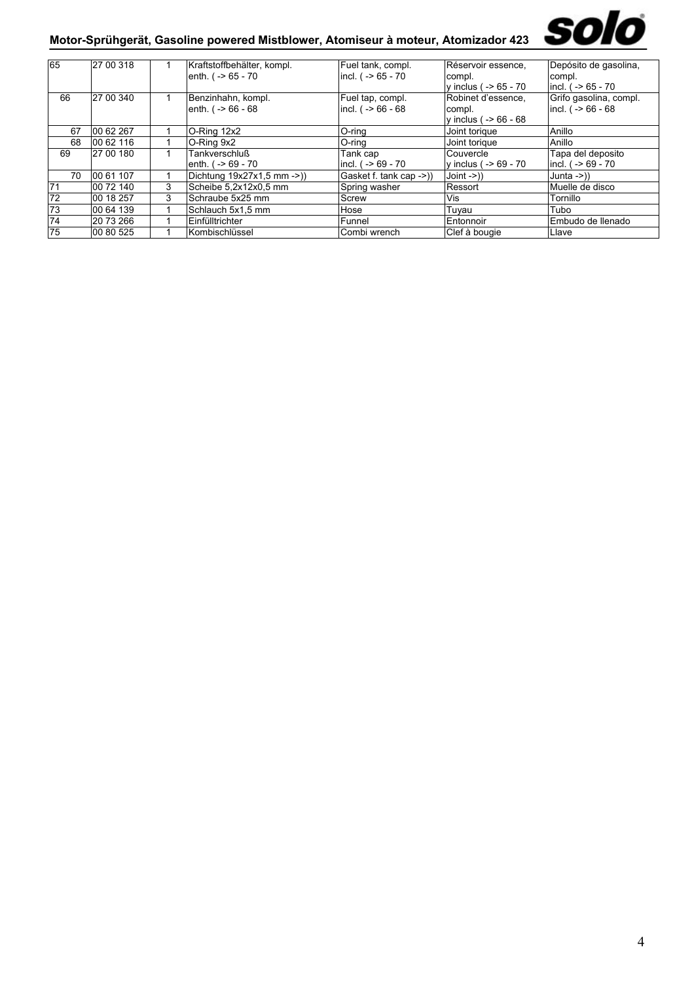

## **Motor-Sprühgerät, Gasoline powered Mistblower, Atomiseur à moteur, Atomizador 423**

| 65  | 27 00 318 |   | Kraftstoffbehälter, kompl. | Fuel tank, compl.         | Réservoir essence,      | Depósito de gasolina,     |
|-----|-----------|---|----------------------------|---------------------------|-------------------------|---------------------------|
|     |           |   |                            |                           |                         |                           |
|     |           |   | enth. ( -> 65 - 70         | incl. $( -56 - 70)$       | compl.                  | compl.                    |
|     |           |   |                            |                           | v inclus ( $-$ 65 - 70  | $ $ incl. ( $-$ >65 - 70  |
| 66  | 27 00 340 |   | Benzinhahn, kompl.         | Fuel tap, compl.          | Robinet d'essence,      | Grifo gasolina, compl.    |
|     |           |   | enth. $( -56 - 68)$        | $ $ incl. ( $-$ > 66 - 68 | compl.                  | incl. $( -56 - 68)$       |
|     |           |   |                            |                           | v inclus ( $-$ >66 - 68 |                           |
| 67  | 00 62 267 |   | O-Ring 12x2                | O-ring                    | Joint torique           | Anillo                    |
| 68  | 00 62 116 |   | O-Ring 9x2                 | O-ring                    | Joint torique           | Anillo                    |
| 69  | 27 00 180 |   | <b>Tankverschluß</b>       | Tank cap                  | Couvercle               | Tapa del deposito         |
|     |           |   | enth. $( - > 69 - 70)$     | incl. ( -> 69 - 70        | y inclus ( -> 69 - 70   | $ $ incl. ( $-$ > 69 - 70 |
| 70  | 00 61 107 |   | Dichtung 19x27x1,5 mm ->)) | Gasket f. tank cap ->)    | $Join ->)$              | Junta $\rightarrow$ ))    |
| 171 | 00 72 140 | 3 | Scheibe 5,2x12x0,5 mm      | Spring washer             | Ressort                 | Muelle de disco           |
| 72  | 00 18 257 | 3 | Schraube 5x25 mm           | Screw                     | Vis                     | Tornillo                  |
| 73  | 00 64 139 |   | Schlauch 5x1,5 mm          | Hose                      | Tuyau                   | Tubo                      |
| 74  | 20 73 266 |   | Einfülltrichter            | Funnel                    | Entonnoir               | IEmbudo de Ilenado        |
| 75  | 00 80 525 |   | Kombischlüssel             | Combi wrench              | Clef à bougie           | Llave                     |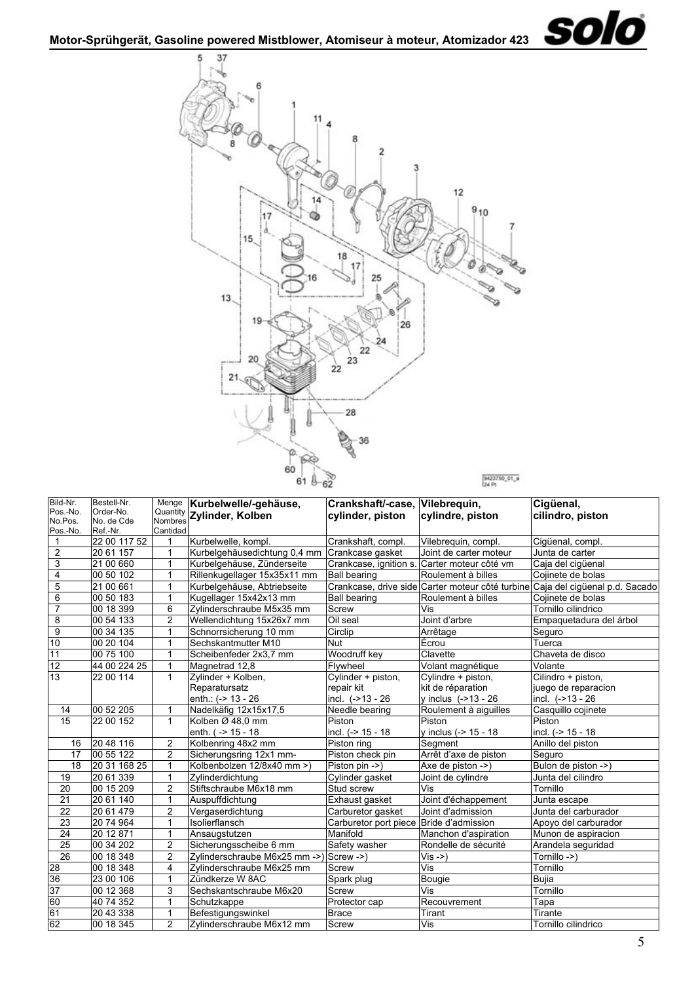<span id="page-4-0"></span>

| Menge Kurbelwelle/-gehäuse,<br>Crankshaft/-case, Vilebrequin,<br>Pos.-No.<br>Order-No.<br>Quantity Zylinder, Kolben<br>cilindro, piston<br>cylinder, piston<br>cylindre, piston<br>No.Pos.<br>No. de Cde<br>Nombres<br>Cantidad<br>Pos.-No.<br>Ref.-Nr.<br>22 00 117 52<br>Kurbelwelle, kompl.<br>Crankshaft, compl.<br>Cigüenal, compl.<br>$\mathbf{1}$<br>Vilebreguin, compl.<br>1<br>$\overline{2}$<br>Kurbelgehäusedichtung 0,4 mm<br>20 61 157<br>1<br>Crankcase gasket<br>Joint de carter moteur<br>Junta de carter<br>3<br>21 00 660<br>1<br>Kurbelgehäuse, Zünderseite<br>Carter moteur côté vm<br>Crankcase, ignition s.<br>Caja del cigüenal<br>$\overline{4}$<br>00 50 102<br>1<br>Rillenkugellager 15x35x11 mm<br><b>Ball bearing</b><br>Roulement à billes<br>Cojinete de bolas<br>5<br>$\mathbf{1}$<br>Crankcase, drive side Carter moteur côté turbine Caja del cigüenal p.d. Sacado<br>21 00 661<br>Kurbelgehäuse, Abtriebseite<br>6<br>00 50 183<br>1<br>Kugellager 15x42x13 mm<br><b>Ball bearing</b><br>Roulement à billes<br>Cojinete de bolas<br>$\overline{7}$<br>00 18 399<br>6<br>Screw<br>Zylinderschraube M5x35 mm<br>Vis<br>Tornillo cilindrico<br>8<br>$\overline{2}$<br>00 54 133<br>Oil seal<br>Joint d'arbre<br>Wellendichtung 15x26x7 mm<br>Empaquetadura del árbol<br>9<br>00 34 135<br>Circlip<br>$\mathbf{1}$<br>Schnorrsicherung 10 mm<br>Seguro<br>Arrêtage<br>10<br>Nut<br>00 20 104<br>1<br>Sechskantmutter M10<br>Écrou<br>Tuerca<br>11<br>Woodruff key<br>00 75 100<br>1<br>Chaveta de disco<br>Scheibenfeder 2x3,7 mm<br>Clavette<br>$\overline{12}$<br>44 00 224 25<br>1<br>Magnetrad 12,8<br>Flywheel<br>Volant magnétique<br>Volante<br>$\overline{13}$<br>Cilindro + piston,<br>22 00 114<br>$\mathbf{1}$<br>Cylinder + piston,<br>Zylinder + Kolben,<br>Cylindre + piston,<br>Reparatursatz<br>kit de réparation<br>juego de reparacion<br>repair kit<br>incl. (->13 - 26<br>enth.: (-> 13 - 26<br>incl. $(->13 - 26)$<br>y inclus (->13 - 26<br>00 52 205<br>14<br>Casquillo cojinete<br>1<br>Nadelkäfig 12x15x17,5<br>Needle bearing<br>Roulement à aiguilles<br>15<br>Piston<br>22 00 152<br>$\mathbf{1}$<br>Kolben Ø 48,0 mm<br>Piston<br>Piston<br>enth. ( -> 15 - 18<br>incl. (-> 15 - 18<br>y inclus (-> 15 - 18<br>incl. (-> 15 - 18<br>$\overline{2}$<br>20 48 116<br>Kolbenring 48x2 mm<br>Piston ring<br>Anillo del piston<br>16<br>Segment<br>00 55 122<br>$\overline{2}$<br>17<br>Sicherungsring 12x1 mm-<br>Piston check pin<br>Arrêt d'axe de piston<br>Seguro<br>20 31 168 25<br>1<br>Bulon de piston ->)<br>18<br>Kolbenbolzen 12/8x40 mm >)<br>Piston pin ->)<br>Axe de piston ->)<br>20 61 339<br>1<br>Cylinder gasket<br>Zylinderdichtung<br>Junta del cilindro<br>19<br>Joint de cylindre<br>$\overline{c}$<br>Stiftschraube M6x18 mm<br>20<br>00 15 209<br>Stud screw<br>Tornillo<br>Vis<br>$\overline{21}$<br>20 61 140<br>1<br>Auspuffdichtung<br>Exhaust gasket<br>Joint d'échappement<br>Junta escape<br>$\overline{22}$<br>$\overline{c}$<br>20 61 479<br>Vergaserdichtung<br>Carburetor gasket<br>Joint d'admission<br>Junta del carburador<br>$\overline{23}$<br>Isolierflansch<br>20 74 964<br>$\mathbf{1}$<br>Carburetor port piece Bride d'admission<br>Apoyo del carburador<br>24<br>20 12 871<br>1<br>Manifold<br>Munon de aspiracion<br>Ansaugstutzen<br>Manchon d'aspiration<br>$\overline{25}$<br>$\overline{2}$<br>00 34 202<br>Safety washer<br>Rondelle de sécurité<br>Arandela seguridad<br>Sicherungsscheibe 6 mm<br>26<br>$\overline{2}$<br>00 18 348<br>Screw ->)<br>Tornillo ->)<br>Zylinderschraube M6x25 mm ->)<br>$Vis -> )$<br>28<br>Vis<br>00 18 348<br>4<br>Zylinderschraube M6x25 mm<br>Tornillo<br>Screw<br>36<br>23 00 106<br>1<br>Zündkerze W 8AC<br>Spark plug<br>Bujia<br>Bougie<br>37<br>3<br>00 12 368<br>Screw<br>Vis<br>Tornillo<br>Sechskantschraube M6x20<br>60<br>40 74 352<br>1<br>Schutzkappe<br>Protector cap<br>Recouvrement<br>Tapa<br>61<br>20 43 338<br>1<br>Brace<br>Befestigungswinkel<br>Tirant<br>Tirante<br>62<br>$\overline{2}$<br>00 18 345<br>Vis<br>Zylinderschraube M6x12 mm<br>Screw<br>Tornillo cilindrico | Bild-Nr. | Bestell-Nr. |  |  |           |
|----------------------------------------------------------------------------------------------------------------------------------------------------------------------------------------------------------------------------------------------------------------------------------------------------------------------------------------------------------------------------------------------------------------------------------------------------------------------------------------------------------------------------------------------------------------------------------------------------------------------------------------------------------------------------------------------------------------------------------------------------------------------------------------------------------------------------------------------------------------------------------------------------------------------------------------------------------------------------------------------------------------------------------------------------------------------------------------------------------------------------------------------------------------------------------------------------------------------------------------------------------------------------------------------------------------------------------------------------------------------------------------------------------------------------------------------------------------------------------------------------------------------------------------------------------------------------------------------------------------------------------------------------------------------------------------------------------------------------------------------------------------------------------------------------------------------------------------------------------------------------------------------------------------------------------------------------------------------------------------------------------------------------------------------------------------------------------------------------------------------------------------------------------------------------------------------------------------------------------------------------------------------------------------------------------------------------------------------------------------------------------------------------------------------------------------------------------------------------------------------------------------------------------------------------------------------------------------------------------------------------------------------------------------------------------------------------------------------------------------------------------------------------------------------------------------------------------------------------------------------------------------------------------------------------------------------------------------------------------------------------------------------------------------------------------------------------------------------------------------------------------------------------------------------------------------------------------------------------------------------------------------------------------------------------------------------------------------------------------------------------------------------------------------------------------------------------------------------------------------------------------------------------------------------------------------------------------------------------------------------------------------------------------------------------------------------------------------------------------------------------------------------------------------------------------------------------------------------------------------------------------------------------------------------------------------------------------------------------------------------------------------------------------------------------------------------------------------------------------------------------------------------|----------|-------------|--|--|-----------|
|                                                                                                                                                                                                                                                                                                                                                                                                                                                                                                                                                                                                                                                                                                                                                                                                                                                                                                                                                                                                                                                                                                                                                                                                                                                                                                                                                                                                                                                                                                                                                                                                                                                                                                                                                                                                                                                                                                                                                                                                                                                                                                                                                                                                                                                                                                                                                                                                                                                                                                                                                                                                                                                                                                                                                                                                                                                                                                                                                                                                                                                                                                                                                                                                                                                                                                                                                                                                                                                                                                                                                                                                                                                                                                                                                                                                                                                                                                                                                                                                                                                                                                                                              |          |             |  |  | Cigüenal, |
|                                                                                                                                                                                                                                                                                                                                                                                                                                                                                                                                                                                                                                                                                                                                                                                                                                                                                                                                                                                                                                                                                                                                                                                                                                                                                                                                                                                                                                                                                                                                                                                                                                                                                                                                                                                                                                                                                                                                                                                                                                                                                                                                                                                                                                                                                                                                                                                                                                                                                                                                                                                                                                                                                                                                                                                                                                                                                                                                                                                                                                                                                                                                                                                                                                                                                                                                                                                                                                                                                                                                                                                                                                                                                                                                                                                                                                                                                                                                                                                                                                                                                                                                              |          |             |  |  |           |
|                                                                                                                                                                                                                                                                                                                                                                                                                                                                                                                                                                                                                                                                                                                                                                                                                                                                                                                                                                                                                                                                                                                                                                                                                                                                                                                                                                                                                                                                                                                                                                                                                                                                                                                                                                                                                                                                                                                                                                                                                                                                                                                                                                                                                                                                                                                                                                                                                                                                                                                                                                                                                                                                                                                                                                                                                                                                                                                                                                                                                                                                                                                                                                                                                                                                                                                                                                                                                                                                                                                                                                                                                                                                                                                                                                                                                                                                                                                                                                                                                                                                                                                                              |          |             |  |  |           |
|                                                                                                                                                                                                                                                                                                                                                                                                                                                                                                                                                                                                                                                                                                                                                                                                                                                                                                                                                                                                                                                                                                                                                                                                                                                                                                                                                                                                                                                                                                                                                                                                                                                                                                                                                                                                                                                                                                                                                                                                                                                                                                                                                                                                                                                                                                                                                                                                                                                                                                                                                                                                                                                                                                                                                                                                                                                                                                                                                                                                                                                                                                                                                                                                                                                                                                                                                                                                                                                                                                                                                                                                                                                                                                                                                                                                                                                                                                                                                                                                                                                                                                                                              |          |             |  |  |           |
|                                                                                                                                                                                                                                                                                                                                                                                                                                                                                                                                                                                                                                                                                                                                                                                                                                                                                                                                                                                                                                                                                                                                                                                                                                                                                                                                                                                                                                                                                                                                                                                                                                                                                                                                                                                                                                                                                                                                                                                                                                                                                                                                                                                                                                                                                                                                                                                                                                                                                                                                                                                                                                                                                                                                                                                                                                                                                                                                                                                                                                                                                                                                                                                                                                                                                                                                                                                                                                                                                                                                                                                                                                                                                                                                                                                                                                                                                                                                                                                                                                                                                                                                              |          |             |  |  |           |
|                                                                                                                                                                                                                                                                                                                                                                                                                                                                                                                                                                                                                                                                                                                                                                                                                                                                                                                                                                                                                                                                                                                                                                                                                                                                                                                                                                                                                                                                                                                                                                                                                                                                                                                                                                                                                                                                                                                                                                                                                                                                                                                                                                                                                                                                                                                                                                                                                                                                                                                                                                                                                                                                                                                                                                                                                                                                                                                                                                                                                                                                                                                                                                                                                                                                                                                                                                                                                                                                                                                                                                                                                                                                                                                                                                                                                                                                                                                                                                                                                                                                                                                                              |          |             |  |  |           |
|                                                                                                                                                                                                                                                                                                                                                                                                                                                                                                                                                                                                                                                                                                                                                                                                                                                                                                                                                                                                                                                                                                                                                                                                                                                                                                                                                                                                                                                                                                                                                                                                                                                                                                                                                                                                                                                                                                                                                                                                                                                                                                                                                                                                                                                                                                                                                                                                                                                                                                                                                                                                                                                                                                                                                                                                                                                                                                                                                                                                                                                                                                                                                                                                                                                                                                                                                                                                                                                                                                                                                                                                                                                                                                                                                                                                                                                                                                                                                                                                                                                                                                                                              |          |             |  |  |           |
|                                                                                                                                                                                                                                                                                                                                                                                                                                                                                                                                                                                                                                                                                                                                                                                                                                                                                                                                                                                                                                                                                                                                                                                                                                                                                                                                                                                                                                                                                                                                                                                                                                                                                                                                                                                                                                                                                                                                                                                                                                                                                                                                                                                                                                                                                                                                                                                                                                                                                                                                                                                                                                                                                                                                                                                                                                                                                                                                                                                                                                                                                                                                                                                                                                                                                                                                                                                                                                                                                                                                                                                                                                                                                                                                                                                                                                                                                                                                                                                                                                                                                                                                              |          |             |  |  |           |
|                                                                                                                                                                                                                                                                                                                                                                                                                                                                                                                                                                                                                                                                                                                                                                                                                                                                                                                                                                                                                                                                                                                                                                                                                                                                                                                                                                                                                                                                                                                                                                                                                                                                                                                                                                                                                                                                                                                                                                                                                                                                                                                                                                                                                                                                                                                                                                                                                                                                                                                                                                                                                                                                                                                                                                                                                                                                                                                                                                                                                                                                                                                                                                                                                                                                                                                                                                                                                                                                                                                                                                                                                                                                                                                                                                                                                                                                                                                                                                                                                                                                                                                                              |          |             |  |  |           |
|                                                                                                                                                                                                                                                                                                                                                                                                                                                                                                                                                                                                                                                                                                                                                                                                                                                                                                                                                                                                                                                                                                                                                                                                                                                                                                                                                                                                                                                                                                                                                                                                                                                                                                                                                                                                                                                                                                                                                                                                                                                                                                                                                                                                                                                                                                                                                                                                                                                                                                                                                                                                                                                                                                                                                                                                                                                                                                                                                                                                                                                                                                                                                                                                                                                                                                                                                                                                                                                                                                                                                                                                                                                                                                                                                                                                                                                                                                                                                                                                                                                                                                                                              |          |             |  |  |           |
|                                                                                                                                                                                                                                                                                                                                                                                                                                                                                                                                                                                                                                                                                                                                                                                                                                                                                                                                                                                                                                                                                                                                                                                                                                                                                                                                                                                                                                                                                                                                                                                                                                                                                                                                                                                                                                                                                                                                                                                                                                                                                                                                                                                                                                                                                                                                                                                                                                                                                                                                                                                                                                                                                                                                                                                                                                                                                                                                                                                                                                                                                                                                                                                                                                                                                                                                                                                                                                                                                                                                                                                                                                                                                                                                                                                                                                                                                                                                                                                                                                                                                                                                              |          |             |  |  |           |
|                                                                                                                                                                                                                                                                                                                                                                                                                                                                                                                                                                                                                                                                                                                                                                                                                                                                                                                                                                                                                                                                                                                                                                                                                                                                                                                                                                                                                                                                                                                                                                                                                                                                                                                                                                                                                                                                                                                                                                                                                                                                                                                                                                                                                                                                                                                                                                                                                                                                                                                                                                                                                                                                                                                                                                                                                                                                                                                                                                                                                                                                                                                                                                                                                                                                                                                                                                                                                                                                                                                                                                                                                                                                                                                                                                                                                                                                                                                                                                                                                                                                                                                                              |          |             |  |  |           |
|                                                                                                                                                                                                                                                                                                                                                                                                                                                                                                                                                                                                                                                                                                                                                                                                                                                                                                                                                                                                                                                                                                                                                                                                                                                                                                                                                                                                                                                                                                                                                                                                                                                                                                                                                                                                                                                                                                                                                                                                                                                                                                                                                                                                                                                                                                                                                                                                                                                                                                                                                                                                                                                                                                                                                                                                                                                                                                                                                                                                                                                                                                                                                                                                                                                                                                                                                                                                                                                                                                                                                                                                                                                                                                                                                                                                                                                                                                                                                                                                                                                                                                                                              |          |             |  |  |           |
|                                                                                                                                                                                                                                                                                                                                                                                                                                                                                                                                                                                                                                                                                                                                                                                                                                                                                                                                                                                                                                                                                                                                                                                                                                                                                                                                                                                                                                                                                                                                                                                                                                                                                                                                                                                                                                                                                                                                                                                                                                                                                                                                                                                                                                                                                                                                                                                                                                                                                                                                                                                                                                                                                                                                                                                                                                                                                                                                                                                                                                                                                                                                                                                                                                                                                                                                                                                                                                                                                                                                                                                                                                                                                                                                                                                                                                                                                                                                                                                                                                                                                                                                              |          |             |  |  |           |
|                                                                                                                                                                                                                                                                                                                                                                                                                                                                                                                                                                                                                                                                                                                                                                                                                                                                                                                                                                                                                                                                                                                                                                                                                                                                                                                                                                                                                                                                                                                                                                                                                                                                                                                                                                                                                                                                                                                                                                                                                                                                                                                                                                                                                                                                                                                                                                                                                                                                                                                                                                                                                                                                                                                                                                                                                                                                                                                                                                                                                                                                                                                                                                                                                                                                                                                                                                                                                                                                                                                                                                                                                                                                                                                                                                                                                                                                                                                                                                                                                                                                                                                                              |          |             |  |  |           |
|                                                                                                                                                                                                                                                                                                                                                                                                                                                                                                                                                                                                                                                                                                                                                                                                                                                                                                                                                                                                                                                                                                                                                                                                                                                                                                                                                                                                                                                                                                                                                                                                                                                                                                                                                                                                                                                                                                                                                                                                                                                                                                                                                                                                                                                                                                                                                                                                                                                                                                                                                                                                                                                                                                                                                                                                                                                                                                                                                                                                                                                                                                                                                                                                                                                                                                                                                                                                                                                                                                                                                                                                                                                                                                                                                                                                                                                                                                                                                                                                                                                                                                                                              |          |             |  |  |           |
|                                                                                                                                                                                                                                                                                                                                                                                                                                                                                                                                                                                                                                                                                                                                                                                                                                                                                                                                                                                                                                                                                                                                                                                                                                                                                                                                                                                                                                                                                                                                                                                                                                                                                                                                                                                                                                                                                                                                                                                                                                                                                                                                                                                                                                                                                                                                                                                                                                                                                                                                                                                                                                                                                                                                                                                                                                                                                                                                                                                                                                                                                                                                                                                                                                                                                                                                                                                                                                                                                                                                                                                                                                                                                                                                                                                                                                                                                                                                                                                                                                                                                                                                              |          |             |  |  |           |
|                                                                                                                                                                                                                                                                                                                                                                                                                                                                                                                                                                                                                                                                                                                                                                                                                                                                                                                                                                                                                                                                                                                                                                                                                                                                                                                                                                                                                                                                                                                                                                                                                                                                                                                                                                                                                                                                                                                                                                                                                                                                                                                                                                                                                                                                                                                                                                                                                                                                                                                                                                                                                                                                                                                                                                                                                                                                                                                                                                                                                                                                                                                                                                                                                                                                                                                                                                                                                                                                                                                                                                                                                                                                                                                                                                                                                                                                                                                                                                                                                                                                                                                                              |          |             |  |  |           |
|                                                                                                                                                                                                                                                                                                                                                                                                                                                                                                                                                                                                                                                                                                                                                                                                                                                                                                                                                                                                                                                                                                                                                                                                                                                                                                                                                                                                                                                                                                                                                                                                                                                                                                                                                                                                                                                                                                                                                                                                                                                                                                                                                                                                                                                                                                                                                                                                                                                                                                                                                                                                                                                                                                                                                                                                                                                                                                                                                                                                                                                                                                                                                                                                                                                                                                                                                                                                                                                                                                                                                                                                                                                                                                                                                                                                                                                                                                                                                                                                                                                                                                                                              |          |             |  |  |           |
|                                                                                                                                                                                                                                                                                                                                                                                                                                                                                                                                                                                                                                                                                                                                                                                                                                                                                                                                                                                                                                                                                                                                                                                                                                                                                                                                                                                                                                                                                                                                                                                                                                                                                                                                                                                                                                                                                                                                                                                                                                                                                                                                                                                                                                                                                                                                                                                                                                                                                                                                                                                                                                                                                                                                                                                                                                                                                                                                                                                                                                                                                                                                                                                                                                                                                                                                                                                                                                                                                                                                                                                                                                                                                                                                                                                                                                                                                                                                                                                                                                                                                                                                              |          |             |  |  |           |
|                                                                                                                                                                                                                                                                                                                                                                                                                                                                                                                                                                                                                                                                                                                                                                                                                                                                                                                                                                                                                                                                                                                                                                                                                                                                                                                                                                                                                                                                                                                                                                                                                                                                                                                                                                                                                                                                                                                                                                                                                                                                                                                                                                                                                                                                                                                                                                                                                                                                                                                                                                                                                                                                                                                                                                                                                                                                                                                                                                                                                                                                                                                                                                                                                                                                                                                                                                                                                                                                                                                                                                                                                                                                                                                                                                                                                                                                                                                                                                                                                                                                                                                                              |          |             |  |  |           |
|                                                                                                                                                                                                                                                                                                                                                                                                                                                                                                                                                                                                                                                                                                                                                                                                                                                                                                                                                                                                                                                                                                                                                                                                                                                                                                                                                                                                                                                                                                                                                                                                                                                                                                                                                                                                                                                                                                                                                                                                                                                                                                                                                                                                                                                                                                                                                                                                                                                                                                                                                                                                                                                                                                                                                                                                                                                                                                                                                                                                                                                                                                                                                                                                                                                                                                                                                                                                                                                                                                                                                                                                                                                                                                                                                                                                                                                                                                                                                                                                                                                                                                                                              |          |             |  |  |           |
|                                                                                                                                                                                                                                                                                                                                                                                                                                                                                                                                                                                                                                                                                                                                                                                                                                                                                                                                                                                                                                                                                                                                                                                                                                                                                                                                                                                                                                                                                                                                                                                                                                                                                                                                                                                                                                                                                                                                                                                                                                                                                                                                                                                                                                                                                                                                                                                                                                                                                                                                                                                                                                                                                                                                                                                                                                                                                                                                                                                                                                                                                                                                                                                                                                                                                                                                                                                                                                                                                                                                                                                                                                                                                                                                                                                                                                                                                                                                                                                                                                                                                                                                              |          |             |  |  |           |
|                                                                                                                                                                                                                                                                                                                                                                                                                                                                                                                                                                                                                                                                                                                                                                                                                                                                                                                                                                                                                                                                                                                                                                                                                                                                                                                                                                                                                                                                                                                                                                                                                                                                                                                                                                                                                                                                                                                                                                                                                                                                                                                                                                                                                                                                                                                                                                                                                                                                                                                                                                                                                                                                                                                                                                                                                                                                                                                                                                                                                                                                                                                                                                                                                                                                                                                                                                                                                                                                                                                                                                                                                                                                                                                                                                                                                                                                                                                                                                                                                                                                                                                                              |          |             |  |  |           |
|                                                                                                                                                                                                                                                                                                                                                                                                                                                                                                                                                                                                                                                                                                                                                                                                                                                                                                                                                                                                                                                                                                                                                                                                                                                                                                                                                                                                                                                                                                                                                                                                                                                                                                                                                                                                                                                                                                                                                                                                                                                                                                                                                                                                                                                                                                                                                                                                                                                                                                                                                                                                                                                                                                                                                                                                                                                                                                                                                                                                                                                                                                                                                                                                                                                                                                                                                                                                                                                                                                                                                                                                                                                                                                                                                                                                                                                                                                                                                                                                                                                                                                                                              |          |             |  |  |           |
|                                                                                                                                                                                                                                                                                                                                                                                                                                                                                                                                                                                                                                                                                                                                                                                                                                                                                                                                                                                                                                                                                                                                                                                                                                                                                                                                                                                                                                                                                                                                                                                                                                                                                                                                                                                                                                                                                                                                                                                                                                                                                                                                                                                                                                                                                                                                                                                                                                                                                                                                                                                                                                                                                                                                                                                                                                                                                                                                                                                                                                                                                                                                                                                                                                                                                                                                                                                                                                                                                                                                                                                                                                                                                                                                                                                                                                                                                                                                                                                                                                                                                                                                              |          |             |  |  |           |
|                                                                                                                                                                                                                                                                                                                                                                                                                                                                                                                                                                                                                                                                                                                                                                                                                                                                                                                                                                                                                                                                                                                                                                                                                                                                                                                                                                                                                                                                                                                                                                                                                                                                                                                                                                                                                                                                                                                                                                                                                                                                                                                                                                                                                                                                                                                                                                                                                                                                                                                                                                                                                                                                                                                                                                                                                                                                                                                                                                                                                                                                                                                                                                                                                                                                                                                                                                                                                                                                                                                                                                                                                                                                                                                                                                                                                                                                                                                                                                                                                                                                                                                                              |          |             |  |  |           |
|                                                                                                                                                                                                                                                                                                                                                                                                                                                                                                                                                                                                                                                                                                                                                                                                                                                                                                                                                                                                                                                                                                                                                                                                                                                                                                                                                                                                                                                                                                                                                                                                                                                                                                                                                                                                                                                                                                                                                                                                                                                                                                                                                                                                                                                                                                                                                                                                                                                                                                                                                                                                                                                                                                                                                                                                                                                                                                                                                                                                                                                                                                                                                                                                                                                                                                                                                                                                                                                                                                                                                                                                                                                                                                                                                                                                                                                                                                                                                                                                                                                                                                                                              |          |             |  |  |           |
|                                                                                                                                                                                                                                                                                                                                                                                                                                                                                                                                                                                                                                                                                                                                                                                                                                                                                                                                                                                                                                                                                                                                                                                                                                                                                                                                                                                                                                                                                                                                                                                                                                                                                                                                                                                                                                                                                                                                                                                                                                                                                                                                                                                                                                                                                                                                                                                                                                                                                                                                                                                                                                                                                                                                                                                                                                                                                                                                                                                                                                                                                                                                                                                                                                                                                                                                                                                                                                                                                                                                                                                                                                                                                                                                                                                                                                                                                                                                                                                                                                                                                                                                              |          |             |  |  |           |
|                                                                                                                                                                                                                                                                                                                                                                                                                                                                                                                                                                                                                                                                                                                                                                                                                                                                                                                                                                                                                                                                                                                                                                                                                                                                                                                                                                                                                                                                                                                                                                                                                                                                                                                                                                                                                                                                                                                                                                                                                                                                                                                                                                                                                                                                                                                                                                                                                                                                                                                                                                                                                                                                                                                                                                                                                                                                                                                                                                                                                                                                                                                                                                                                                                                                                                                                                                                                                                                                                                                                                                                                                                                                                                                                                                                                                                                                                                                                                                                                                                                                                                                                              |          |             |  |  |           |
|                                                                                                                                                                                                                                                                                                                                                                                                                                                                                                                                                                                                                                                                                                                                                                                                                                                                                                                                                                                                                                                                                                                                                                                                                                                                                                                                                                                                                                                                                                                                                                                                                                                                                                                                                                                                                                                                                                                                                                                                                                                                                                                                                                                                                                                                                                                                                                                                                                                                                                                                                                                                                                                                                                                                                                                                                                                                                                                                                                                                                                                                                                                                                                                                                                                                                                                                                                                                                                                                                                                                                                                                                                                                                                                                                                                                                                                                                                                                                                                                                                                                                                                                              |          |             |  |  |           |
|                                                                                                                                                                                                                                                                                                                                                                                                                                                                                                                                                                                                                                                                                                                                                                                                                                                                                                                                                                                                                                                                                                                                                                                                                                                                                                                                                                                                                                                                                                                                                                                                                                                                                                                                                                                                                                                                                                                                                                                                                                                                                                                                                                                                                                                                                                                                                                                                                                                                                                                                                                                                                                                                                                                                                                                                                                                                                                                                                                                                                                                                                                                                                                                                                                                                                                                                                                                                                                                                                                                                                                                                                                                                                                                                                                                                                                                                                                                                                                                                                                                                                                                                              |          |             |  |  |           |
|                                                                                                                                                                                                                                                                                                                                                                                                                                                                                                                                                                                                                                                                                                                                                                                                                                                                                                                                                                                                                                                                                                                                                                                                                                                                                                                                                                                                                                                                                                                                                                                                                                                                                                                                                                                                                                                                                                                                                                                                                                                                                                                                                                                                                                                                                                                                                                                                                                                                                                                                                                                                                                                                                                                                                                                                                                                                                                                                                                                                                                                                                                                                                                                                                                                                                                                                                                                                                                                                                                                                                                                                                                                                                                                                                                                                                                                                                                                                                                                                                                                                                                                                              |          |             |  |  |           |
|                                                                                                                                                                                                                                                                                                                                                                                                                                                                                                                                                                                                                                                                                                                                                                                                                                                                                                                                                                                                                                                                                                                                                                                                                                                                                                                                                                                                                                                                                                                                                                                                                                                                                                                                                                                                                                                                                                                                                                                                                                                                                                                                                                                                                                                                                                                                                                                                                                                                                                                                                                                                                                                                                                                                                                                                                                                                                                                                                                                                                                                                                                                                                                                                                                                                                                                                                                                                                                                                                                                                                                                                                                                                                                                                                                                                                                                                                                                                                                                                                                                                                                                                              |          |             |  |  |           |
|                                                                                                                                                                                                                                                                                                                                                                                                                                                                                                                                                                                                                                                                                                                                                                                                                                                                                                                                                                                                                                                                                                                                                                                                                                                                                                                                                                                                                                                                                                                                                                                                                                                                                                                                                                                                                                                                                                                                                                                                                                                                                                                                                                                                                                                                                                                                                                                                                                                                                                                                                                                                                                                                                                                                                                                                                                                                                                                                                                                                                                                                                                                                                                                                                                                                                                                                                                                                                                                                                                                                                                                                                                                                                                                                                                                                                                                                                                                                                                                                                                                                                                                                              |          |             |  |  |           |
|                                                                                                                                                                                                                                                                                                                                                                                                                                                                                                                                                                                                                                                                                                                                                                                                                                                                                                                                                                                                                                                                                                                                                                                                                                                                                                                                                                                                                                                                                                                                                                                                                                                                                                                                                                                                                                                                                                                                                                                                                                                                                                                                                                                                                                                                                                                                                                                                                                                                                                                                                                                                                                                                                                                                                                                                                                                                                                                                                                                                                                                                                                                                                                                                                                                                                                                                                                                                                                                                                                                                                                                                                                                                                                                                                                                                                                                                                                                                                                                                                                                                                                                                              |          |             |  |  |           |
|                                                                                                                                                                                                                                                                                                                                                                                                                                                                                                                                                                                                                                                                                                                                                                                                                                                                                                                                                                                                                                                                                                                                                                                                                                                                                                                                                                                                                                                                                                                                                                                                                                                                                                                                                                                                                                                                                                                                                                                                                                                                                                                                                                                                                                                                                                                                                                                                                                                                                                                                                                                                                                                                                                                                                                                                                                                                                                                                                                                                                                                                                                                                                                                                                                                                                                                                                                                                                                                                                                                                                                                                                                                                                                                                                                                                                                                                                                                                                                                                                                                                                                                                              |          |             |  |  |           |
|                                                                                                                                                                                                                                                                                                                                                                                                                                                                                                                                                                                                                                                                                                                                                                                                                                                                                                                                                                                                                                                                                                                                                                                                                                                                                                                                                                                                                                                                                                                                                                                                                                                                                                                                                                                                                                                                                                                                                                                                                                                                                                                                                                                                                                                                                                                                                                                                                                                                                                                                                                                                                                                                                                                                                                                                                                                                                                                                                                                                                                                                                                                                                                                                                                                                                                                                                                                                                                                                                                                                                                                                                                                                                                                                                                                                                                                                                                                                                                                                                                                                                                                                              |          |             |  |  |           |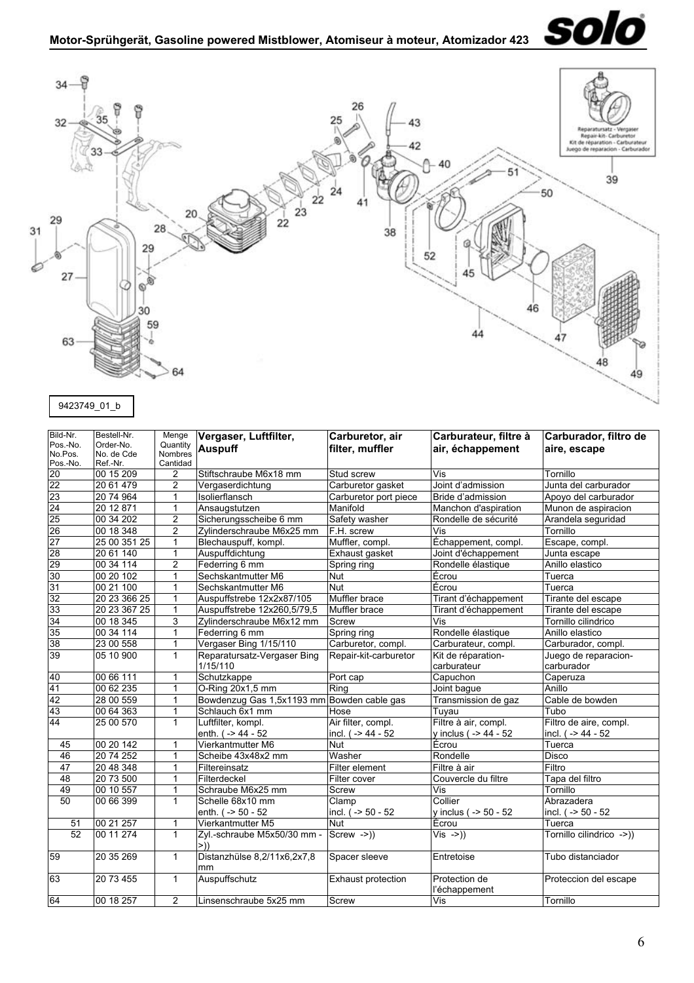

<span id="page-5-0"></span>

| Bild-Nr.<br>Pos.-No.<br>No.Pos.<br>Pos.-No. | Bestell-Nr.<br>Order-No.<br>No. de Cde<br>Ref.-Nr. | Menge<br>Quantity<br>Nombres<br>Cantidad | Vergaser, Luftfilter,<br><b>Auspuff</b>    | Carburetor, air<br>filter, muffler     | Carburateur, filtre à<br>air, échappement     | Carburador, filtro de<br>aire, escape            |
|---------------------------------------------|----------------------------------------------------|------------------------------------------|--------------------------------------------|----------------------------------------|-----------------------------------------------|--------------------------------------------------|
|                                             | 00 15 209                                          | 2                                        | Stiftschraube M6x18 mm                     | Stud screw                             | $\overline{\mathsf{Vis}}$                     | Tornillo                                         |
|                                             | 20 61 479                                          | $\overline{c}$                           | Vergaserdichtung                           | Carburetor gasket                      | Joint d'admission                             | Junta del carburador                             |
| $\frac{20}{23}$<br>23<br>24                 | 20 74 964                                          | 1                                        | Isolierflansch                             | Carburetor port piece                  | Bride d'admission                             | Apovo del carburador                             |
|                                             | 20 12 871                                          | 1                                        | Ansaugstutzen                              | Manifold                               | Manchon d'aspiration                          | Munon de aspiracion                              |
| 25                                          | 00 34 202                                          | $\overline{c}$                           | Sicherungsscheibe 6 mm                     | Safety washer                          | Rondelle de sécurité                          | Arandela seguridad                               |
| 26                                          | 00 18 348                                          | 2                                        | Zylinderschraube M6x25 mm                  | F.H. screw                             | Vis                                           | Tornillo                                         |
| $\frac{27}{28}$                             | 25 00 351 25                                       | 1                                        | Blechauspuff, kompl.                       | Muffler, compl.                        | Échappement, compl.                           | Escape, compl.                                   |
|                                             | 20 61 140                                          | 1                                        | Auspuffdichtung                            | Exhaust gasket                         | Joint d'échappement                           | Junta escape                                     |
| 29                                          | 00 34 114                                          | $\overline{2}$                           | Federring 6 mm                             | Spring ring                            | Rondelle élastique                            | Anillo elastico                                  |
| 30                                          | $00\,20\,102$                                      | $\mathbf{1}$                             | Sechskantmutter M6                         | <b>Nut</b>                             | Écrou                                         | Tuerca                                           |
| 31                                          | 00 21 100                                          | 1                                        | Sechskantmutter M6                         | <b>Nut</b>                             | Écrou                                         | Tuerca                                           |
| 32                                          | 20 23 366 25                                       | 1                                        | Auspuffstrebe 12x2x87/105                  | Muffler brace                          | Tirant d'échappement                          | Tirante del escape                               |
| 33                                          | 20 23 367 25                                       | 1                                        | Auspuffstrebe 12x260,5/79,5                | Muffler brace                          | Tirant d'échappement                          | Tirante del escape                               |
| 34                                          | 00 18 345                                          | 3                                        | Zylinderschraube M6x12 mm                  | <b>Screw</b>                           | Vis                                           | Tornillo cilindrico                              |
| 35                                          | 00 34 114                                          | 1                                        | Federring 6 mm                             | Spring ring                            | Rondelle élastique                            | Anillo elastico                                  |
| 38                                          | 23 00 558                                          | $\mathbf{1}$                             | Vergaser Bing 1/15/110                     | Carburetor, compl.                     | Carburateur, compl.                           | Carburador, compl.                               |
| 39                                          | 05 10 900                                          | $\overline{1}$                           | Reparatursatz-Vergaser Bing<br>1/15/110    | Repair-kit-carburetor                  | Kit de réparation-<br>carburateur             | Juego de reparacion-<br>carburador               |
| 40                                          | 00 66 111                                          | 1                                        | Schutzkappe                                | Port cap                               | Capuchon                                      | Caperuza                                         |
| 41                                          | 00 62 235                                          | 1                                        | O-Ring 20x1,5 mm                           | Ring                                   | Joint baque                                   | Anillo                                           |
| 42                                          | 28 00 559                                          | 1                                        | Bowdenzug Gas 1,5x1193 mm Bowden cable gas |                                        | Transmission de gaz                           | Cable de bowden                                  |
| 43                                          | 00 64 363                                          | $\mathbf{1}$                             | Schlauch 6x1 mm                            | Hose                                   | Tuyau                                         | Tubo                                             |
| 44                                          | 25 00 570                                          | $\mathbf{1}$                             | Luftfilter, kompl.<br>enth. ( -> 44 - 52   | Air filter, compl.<br>incl. (->44 - 52 | Filtre à air, compl.<br>y inclus ( -> 44 - 52 | Filtro de aire, compl.<br>incl. $( - > 44 - 52)$ |
| 45                                          | 00 20 142                                          | $\mathbf{1}$                             | Vierkantmutter M6                          | Nut                                    | Écrou                                         | Tuerca                                           |
| 46                                          | 20 74 252                                          | 1                                        | Scheibe 43x48x2 mm                         | Washer                                 | Rondelle                                      | Disco                                            |
| 47                                          | 20 48 348                                          | 1                                        | Filtereinsatz                              | Filter element                         | Filtre à air                                  | Filtro                                           |
| 48                                          | 20 73 500                                          | 1                                        | Filterdeckel                               | Filter cover                           | Couvercle du filtre                           | Tapa del filtro                                  |
| 49                                          | 00 10 557                                          | $\mathbf{1}$                             | Schraube M6x25 mm                          | Screw                                  | Vis                                           | Tornillo                                         |
| 50                                          | 00 66 399                                          | $\mathbf{1}$                             | Schelle 68x10 mm<br>enth. ( -> 50 - 52     | Clamp<br>incl. ( -> 50 - 52            | Collier<br>y inclus ( -> 50 - 52              | Abrazadera<br>incl. (-> 50 - 52                  |
| 51                                          | 00 21 257                                          | $\mathbf{1}$                             | Vierkantmutter M5                          | Nut                                    | Ecrou                                         | Tuerca                                           |
| 52                                          | 00 11 274                                          | $\mathbf{1}$                             | Zyl.-schraube M5x50/30 mm -<br>>))         | $Screw ->))$                           | $Vis ->)$                                     | Tornillo cilindrico ->))                         |
| 59                                          | 20 35 269                                          | $\mathbf{1}$                             | Distanzhülse 8,2/11x6,2x7,8<br>mm          | Spacer sleeve                          | Entretoise                                    | Tubo distanciador                                |
| 63                                          | 20 73 455                                          | $\mathbf{1}$                             | Auspuffschutz                              | Exhaust protection                     | Protection de<br>l'échappement                | Proteccion del escape                            |
| 64                                          | 00 18 257                                          | $\overline{2}$                           | Linsenschraube 5x25 mm                     | Screw                                  | Vis                                           | Tornillo                                         |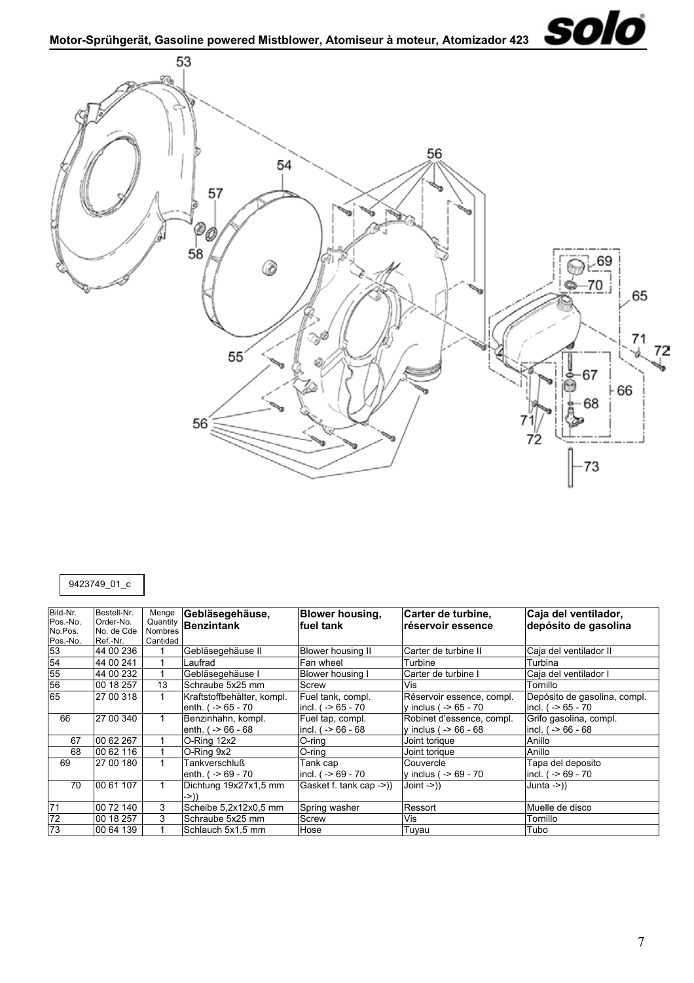<span id="page-6-0"></span>

# 9423749\_01\_c

| Bild-Nr.<br>Pos.-No. | Bestell-Nr.<br>Order-No. | Menge<br>Quantity | Gebläsegehäuse,<br>Benzintank | <b>Blower housing,</b><br>fuel tank | Carter de turbine,<br>réservoir essence | Caja del ventilador,<br>depósito de gasolina |
|----------------------|--------------------------|-------------------|-------------------------------|-------------------------------------|-----------------------------------------|----------------------------------------------|
| No.Pos.              | No. de Cde               | <b>Nombres</b>    |                               |                                     |                                         |                                              |
| Pos.-No.             | Ref.-Nr.                 | Cantidad          |                               |                                     |                                         |                                              |
| 53                   | 44 00 236                |                   | Gebläsegehäuse II             | <b>Blower housing II</b>            | Carter de turbine II                    | Caja del ventilador II                       |
| 54                   | 44 00 241                |                   | Laufrad                       | Fan wheel                           | Turbine                                 | Turbina                                      |
| 55                   | 44 00 232                |                   | Gebläsegehäuse I              | Blower housing I                    | Carter de turbine I                     | Caja del ventilador I                        |
| 56                   | 00 18 257                | 13                | Schraube 5x25 mm              | Screw                               | Vis                                     | Tornillo                                     |
| 65                   | 27 00 318                | 1                 | Kraftstoffbehälter, kompl.    | Fuel tank, compl.                   | Réservoir essence, compl.               | Depósito de gasolina, compl.                 |
|                      |                          |                   | enth. $( -565 - 70)$          | incl. $( -56 - 70)$                 | v inclus ( $-$ 65 - 70                  | incl. $( -56 - 70)$                          |
| 66                   | 27 00 340                | 1                 | Benzinhahn, kompl.            | Fuel tap, compl.                    | Robinet d'essence, compl.               | Grifo gasolina, compl.                       |
|                      |                          |                   | enth. $( - > 66 - 68)$        | incl. $( -56 - 68)$                 | v inclus ( $-$ 66 - 68                  | incl. $( -56 - 68)$                          |
| 67                   | 00 62 267                |                   | O-Ring 12x2                   | $O$ -ring                           | Joint torique                           | Anillo                                       |
| 68                   | 00 62 116                |                   | O-Ring 9x2                    | O-ring                              | Joint torique                           | Anillo                                       |
| 69                   | 27 00 180                |                   | Tankverschluß                 | Tank cap                            | Couvercle                               | Tapa del deposito                            |
|                      |                          |                   | enth. $( -8.69 - 70)$         | incl. $( -569 - 70)$                | y inclus ( $-$ 69 - 70                  | incl. $( -569 - 70)$                         |
| 70                   | 00 61 107                |                   | Dichtung 19x27x1,5 mm         | Gasket f. tank cap ->))             | $Join \rightarrow)$                     | Junta ->))                                   |
|                      |                          |                   | $\rightarrow$ ))              |                                     |                                         |                                              |
| 71                   | 00 72 140                | 3                 | Scheibe 5,2x12x0,5 mm         | Spring washer                       | Ressort                                 | Muelle de disco                              |
| 72                   | 00 18 257                | 3                 | Schraube 5x25 mm              | Screw                               | Vis                                     | Tornillo                                     |
| 73                   | 00 64 139                |                   | Schlauch 5x1,5 mm             | Hose                                | Tuyau                                   | Tubo                                         |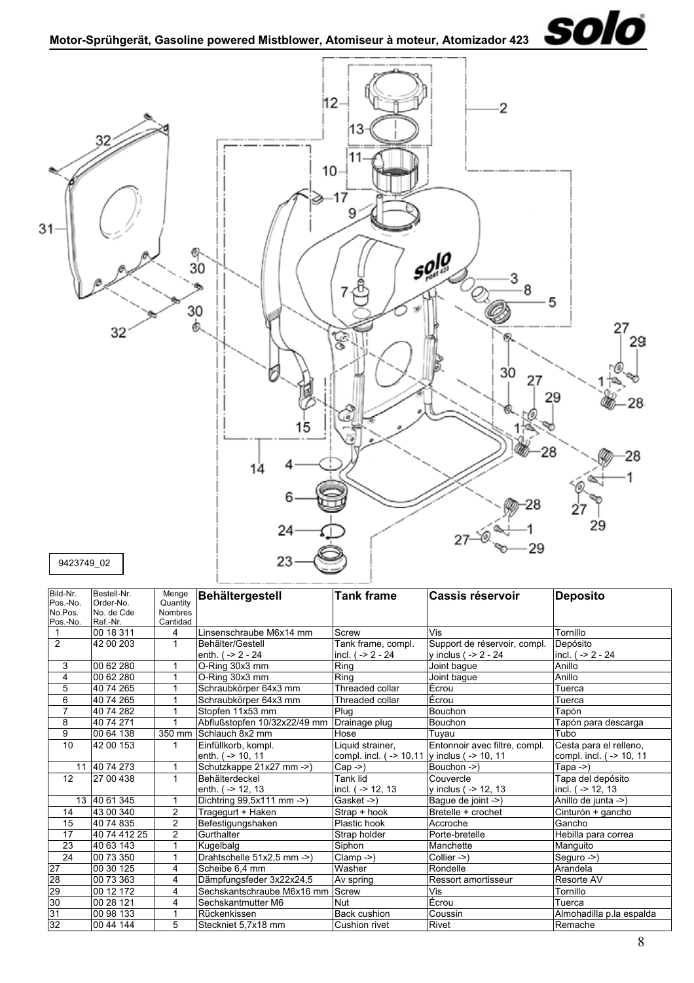

<span id="page-7-0"></span>

| Bild-Nr.        | Bestell-Nr.  | Menge                   | Behältergestell              | <b>Tank frame</b>                             | Cassis réservoir              | <b>Deposito</b>          |
|-----------------|--------------|-------------------------|------------------------------|-----------------------------------------------|-------------------------------|--------------------------|
| Pos.-No.        | Order-No.    | Quantity                |                              |                                               |                               |                          |
| No.Pos.         | No. de Cde   | <b>Nombres</b>          |                              |                                               |                               |                          |
| Pos.-No.        | Ref.-Nr.     | Cantidad                |                              |                                               |                               |                          |
|                 | 00 18 311    | 4                       | Linsenschraube M6x14 mm      | Screw                                         | Vis                           | Tornillo                 |
| 2               | 42 00 203    | 1                       | Behälter/Gestell             | Tank frame, compl.                            | Support de réservoir, compl.  | Depósito                 |
|                 |              |                         | enth. $( -2 - 24)$           | incl. ( -> 2 - 24                             | v inclus ( $-2 - 24$          | incl. $( -2 - 24)$       |
| 3               | 00 62 280    |                         | O-Ring 30x3 mm               | Ring                                          | Joint bague                   | Anillo                   |
| 4               | 00 62 280    |                         | O-Ring 30x3 mm               | Ring                                          | Joint bague                   | Anillo                   |
| 5               | 40 74 265    |                         | Schraubkörper 64x3 mm        | Threaded collar                               | Écrou                         | Tuerca                   |
| 6               | 40 74 265    |                         | Schraubkörper 64x3 mm        | Threaded collar                               | Écrou                         | Tuerca                   |
| $\overline{7}$  | 40 74 282    |                         | Stopfen 11x53 mm             | Plug                                          | <b>Bouchon</b>                | Tapón                    |
| 8               | 40 74 271    |                         | Abflußstopfen 10/32x22/49 mm | Drainage plug                                 | Bouchon                       | Tapón para descarga      |
| 9               | 00 64 138    |                         | 350 mm Schlauch 8x2 mm       | Hose                                          | Tuvau                         | Tubo                     |
| 10              | 42 00 153    | 1                       | Einfüllkorb, kompl.          | Liquid strainer,                              | Entonnoir avec filtre, compl. | Cesta para el relleno,   |
|                 |              |                         | enth. ( -> 10, 11            | compl. incl. ( -> 10,11  y inclus ( -> 10, 11 |                               | compl. incl. (-> 10, 11  |
|                 | 11 40 74 273 |                         | Schutzkappe 21x27 mm ->)     | $Cap \rightarrow)$                            | Bouchon ->)                   | Tapa $-$ )               |
| 12              | 27 00 438    | $\mathbf{1}$            | <b>Behälterdeckel</b>        | Tank lid                                      | Couvercle                     | Tapa del depósito        |
|                 |              |                         | enth. $( -2 12, 13 $         | incl. ( -> 12, 13                             | y inclus ( $-$ 12, 13         | incl. ( -> 12, 13        |
|                 | 13 40 61 345 | 1                       | Dichtring 99,5x111 mm ->)    | Gasket ->)                                    | Bague de joint ->)            | Anillo de junta ->)      |
| 14              | 43 00 340    | $\overline{c}$          | Tragegurt + Haken            | Strap + hook                                  | Bretelle + crochet            | Cinturón + gancho        |
| 15              | 40 74 835    | $\overline{2}$          | Befestigungshaken            | Plastic hook                                  | Accroche                      | Gancho                   |
| 17              | 40 74 412 25 | $\overline{2}$          | Gurthalter                   | Strap holder                                  | Porte-bretelle                | Hebilla para correa      |
| 23              | 40 63 143    |                         | Kugelbalg                    | Siphon                                        | Manchette                     | Manguito                 |
| $\overline{24}$ | 00 73 350    | $\mathbf{1}$            | Drahtschelle 51x2,5 mm ->)   | Clamp ->)                                     | $Collier -\geq)$              | Seguro ->)               |
| 27              | 00 30 125    | 4                       | Scheibe 6,4 mm               | Washer                                        | Rondelle                      | Arandela                 |
| 28              | 00 73 363    | $\overline{\mathbf{4}}$ | Dämpfungsfeder 3x22x24,5     | Av spring                                     | <b>Ressort amortisseur</b>    | Resorte AV               |
| 29              | 00 12 172    | 4                       | Sechskantschraube M6x16 mm   | Screw                                         | Vis                           | Tornillo                 |
| 30              | 00 28 121    | $\overline{\mathbf{4}}$ | Sechskantmutter M6           | <b>Nut</b>                                    | Écrou                         | Tuerca                   |
| 31              | 00 98 133    |                         | Rückenkissen                 | <b>Back cushion</b>                           | Coussin                       | Almohadilla p.la espalda |
| 32              | 00 44 144    | 5                       | Steckniet 5.7x18 mm          | Cushion rivet                                 | Rivet                         | Remache                  |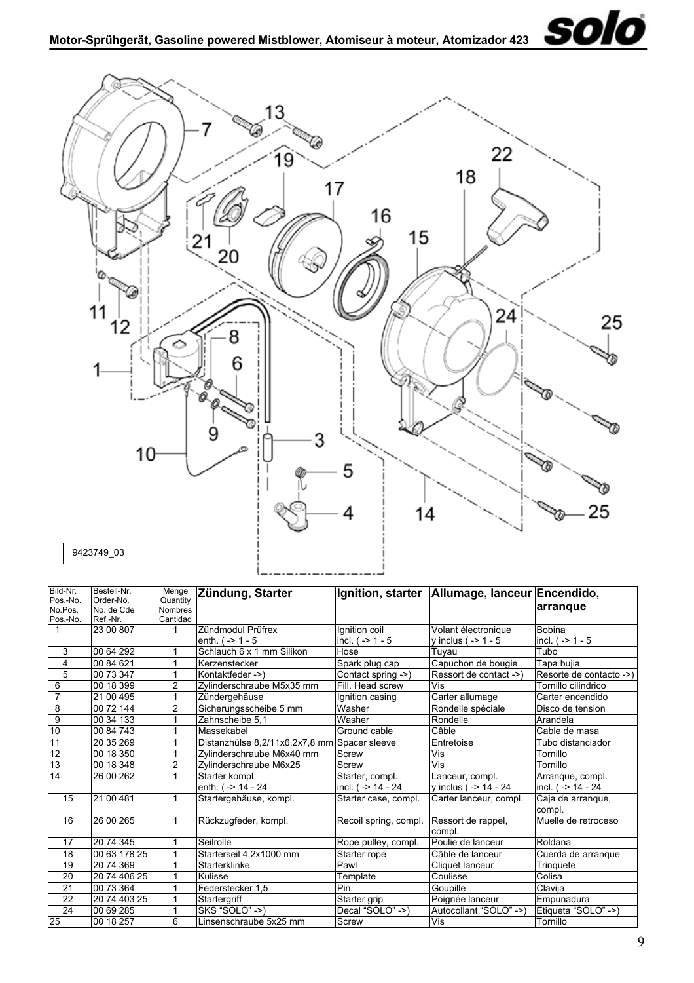<span id="page-8-0"></span>

| Bild-Nr.        | Bestell-Nr.  | Menge          | Zündung, Starter                             |                       | Ignition, starter   Allumage, Ianceur Encendido, |                             |
|-----------------|--------------|----------------|----------------------------------------------|-----------------------|--------------------------------------------------|-----------------------------|
| Pos.-No.        | Order-No.    | Quantity       |                                              |                       |                                                  |                             |
| No.Pos.         | No. de Cde   | <b>Nombres</b> |                                              |                       |                                                  | arrangue                    |
| Pos.-No.        | Ref.-Nr.     | Cantidad       |                                              |                       |                                                  |                             |
| 1               | 23 00 807    | 1              | Zündmodul Prüfrex                            | Ignition coil         | Volant électronique                              | Bobina                      |
|                 |              |                | enth. $(-2) - 5$                             | incl. $( -2 1 - 5 $   | y inclus ( $-$ > 1 - 5                           | incl. $(-2)$ 1 - 5          |
| 3               | 00 64 292    | 1              | Schlauch 6 x 1 mm Silikon                    | Hose                  | Tuyau                                            | Tubo                        |
| 4               | 00 84 621    | 1              | Kerzenstecker                                | Spark plug cap        | Capuchon de bougie                               | Tapa bujia                  |
| 5               | 00 73 347    | 1              | Kontaktfeder ->)                             | Contact spring ->)    | Ressort de contact ->)                           | Resorte de contacto ->)     |
| 6               | 00 18 399    | 2              | Zylinderschraube M5x35 mm                    | Fill. Head screw      | Vis                                              | Tornillo cilindrico         |
| $\overline{7}$  | 21 00 495    | 1              | Zündergehäuse                                | Ignition casing       | Carter allumage                                  | Carter encendido            |
| 8               | 00 72 144    | $\overline{2}$ | Sicherungsscheibe 5 mm                       | Washer                | Rondelle spéciale                                | Disco de tension            |
| $\overline{9}$  | 00 34 133    | 1              | Zahnscheibe 5,1                              | Washer                | Rondelle                                         | Arandela                    |
| 10              | 00 84 743    |                | Massekabel                                   | Ground cable          | Câble                                            | Cable de masa               |
| 11              | 20 35 269    | 1              | Distanzhülse 8,2/11x6,2x7,8 mm Spacer sleeve |                       | Entretoise                                       | Tubo distanciador           |
| $\overline{12}$ | 00 18 350    | 1              | Zylinderschraube M6x40 mm                    | Screw                 | Vis                                              | Tornillo                    |
| 13              | 00 18 348    | 2              | Zylinderschraube M6x25                       | Screw                 | Vis                                              | Tornillo                    |
| 14              | 26 00 262    | 1              | Starter kompl.                               | Starter, compl.       | Lanceur, compl.                                  | Arrangue, compl.            |
|                 |              |                | enth. ( -> 14 - 24                           | incl. ( -> 14 - 24    | y inclus ( -> 14 - 24                            | incl. ( -> 14 - 24          |
| 15              | 21 00 481    | $\mathbf{1}$   | Startergehäuse, kompl.                       | Starter case, compl.  | Carter lanceur, compl.                           | Caja de arranque,<br>compl. |
| 16              | 26 00 265    | 1              | Rückzugfeder, kompl.                         | Recoil spring, compl. | Ressort de rappel,<br>compl.                     | Muelle de retroceso         |
| 17              | 20 74 345    |                | Seilrolle                                    | Rope pulley, compl.   | Poulie de lanceur                                | Roldana                     |
| 18              | 00 63 178 25 |                | Starterseil 4,2x1000 mm                      | Starter rope          | Câble de lanceur                                 | Cuerda de arranque          |
| 19              | 20 74 369    |                | Starterklinke                                | Pawl                  | Cliquet lanceur                                  | Tringuete                   |
| 20              | 20 74 406 25 |                | Kulisse                                      | Template              | Coulisse                                         | Colisa                      |
| 21              | 00 73 364    | 1              | Federstecker 1.5                             | Pin                   | Goupille                                         | Clavija                     |
| 22              | 20 74 403 25 |                | Startergriff                                 | Starter grip          | Poignée lanceur                                  | Empunadura                  |
| 24              | 00 69 285    |                | SKS "SOLO" ->)                               | Decal "SOLO" ->)      | Autocollant "SOLO" ->)                           | Etiqueta "SOLO" ->)         |
| 25              | 00 18 257    | 6              | Linsenschraube 5x25 mm                       | Screw                 | Vis                                              | Tornillo                    |

solo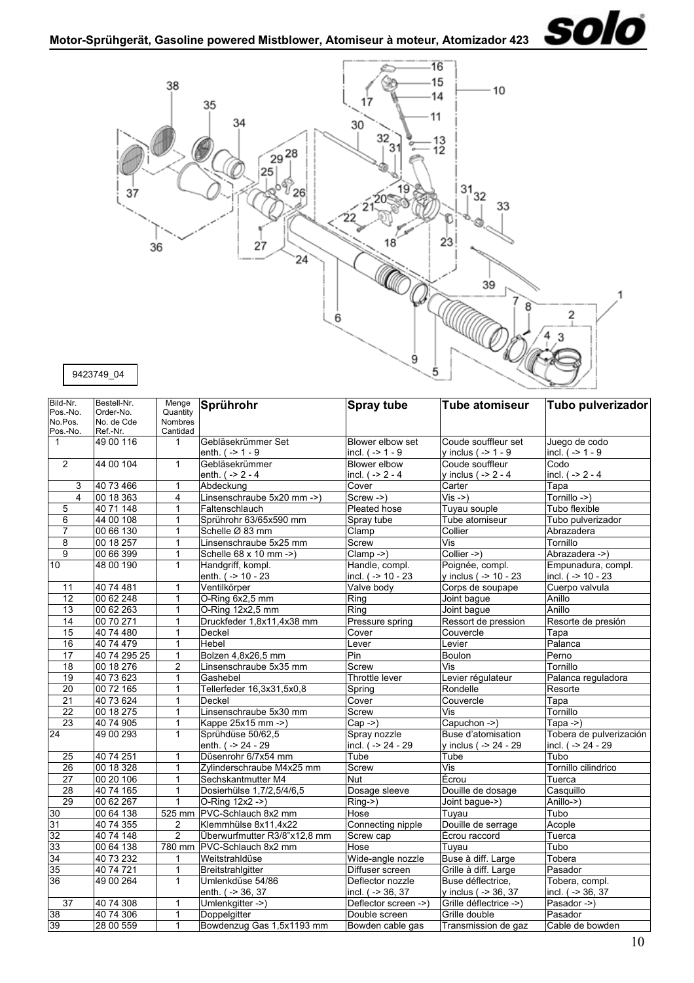

<span id="page-9-0"></span>

| Bild-Nr.<br>Pos.-No. | Bestell-Nr.<br>Order-No. | Menge<br>Quantity | Sprührohr                    | <b>Spray tube</b>    | <b>Tube atomiseur</b>     | Tubo pulverizador       |
|----------------------|--------------------------|-------------------|------------------------------|----------------------|---------------------------|-------------------------|
| No.Pos.              | No. de Cde               | <b>Nombres</b>    |                              |                      |                           |                         |
| Pos.-No.             | Ref.-Nr.                 | Cantidad          |                              |                      |                           |                         |
| $\mathbf{1}$         | 49 00 116                | 1                 | Gebläsekrümmer Set           | Blower elbow set     | Coude souffleur set       | Juego de codo           |
|                      |                          |                   | enth. $(-2) - 9$             | incl. $( -2 1 - 9)$  | y inclus ( $-$ > 1 - 9    | incl. $(->1 - 9)$       |
| $\overline{2}$       | 44 00 104                | $\mathbf{1}$      | Gebläsekrümmer               | Blower elbow         | Coude souffleur           | Codo                    |
|                      |                          |                   | enth. $( -2 - 4)$            | incl. $( -2 - 4)$    | y inclus ( $-$ > 2 - 4    | incl. $( -2 - 4)$       |
| 3                    | 40 73 466                | 1                 | Abdeckung                    | Cover                | Carter                    | Tapa                    |
| $\overline{4}$       | 00 18 363                | $\overline{4}$    | Linsenschraube 5x20 mm ->)   | Screw ->)            | $Vis -> )$                | Tornillo ->)            |
| 5                    | 40 71 148                | 1                 | Faltenschlauch               | Pleated hose         | Tuyau souple              | Tubo flexible           |
| 6                    | 44 00 108                | $\mathbf{1}$      | Sprührohr 63/65x590 mm       | Spray tube           | Tube atomiseur            | Tubo pulverizador       |
| $\overline{7}$       | 00 66 130                | $\mathbf{1}$      | Schelle Ø 83 mm              | Clamp                | Collier                   | Abrazadera              |
| 8                    | 00 18 257                | $\mathbf{1}$      | Linsenschraube 5x25 mm       | Screw                | Vis                       | Tornillo                |
| 9                    | 00 66 399                | 1                 | Schelle 68 x 10 mm ->)       | $Clamp - >$ )        | Collier ->)               | Abrazadera ->)          |
| 10                   | 48 00 190                | $\mathbf{1}$      | Handgriff, kompl.            | Handle, compl.       | Poignée, compl.           | Empunadura, compl.      |
|                      |                          |                   | enth. ( -> 10 - 23           | incl. ( -> 10 - 23   | y inclus ( -> 10 - 23     | incl. (-> 10 - 23       |
| 11                   | 40 74 481                | $\mathbf{1}$      | Ventilkörper                 | Valve body           | Corps de soupape          | Cuerpo valvula          |
| 12                   | 00 62 248                | 1                 | O-Ring 6x2,5 mm              | Ring                 | Joint bague               | Anillo                  |
| 13                   | 00 62 263                | $\mathbf{1}$      | O-Ring 12x2,5 mm             | Ring                 | Joint baque               | Anillo                  |
| $\overline{14}$      | 00 70 271                | 1                 | Druckfeder 1,8x11,4x38 mm    | Pressure spring      | Ressort de pression       | Resorte de presión      |
| $\overline{15}$      | 40 74 480                | 1                 | Deckel                       | Cover                | Couvercle                 | Tapa                    |
| 16                   | 40 74 479                | 1                 | Hebel                        | Lever                | Levier                    | Palanca                 |
| $\overline{17}$      | 40 74 295 25             | 1                 | Bolzen 4,8x26,5 mm           | Pin                  | <b>Boulon</b>             | Perno                   |
| 18                   | 00 18 276                | 2                 | Linsenschraube 5x35 mm       | Screw                | Vis                       | Tornillo                |
| 19                   | 40 73 623                | 1                 | Gashebel                     | Throttle lever       | Levier régulateur         | Palanca reguladora      |
| 20                   | 00 72 165                | 1                 | Tellerfeder 16,3x31,5x0,8    | Spring               | Rondelle                  | Resorte                 |
| 21                   | 40 73 624                | 1                 | Deckel                       | Cover                | Couvercle                 | Tapa                    |
| $\overline{22}$      | 00 18 275                | 1                 | Linsenschraube 5x30 mm       | Screw                | Vis                       | Tornillo                |
| 23                   | 40 74 905                | $\mathbf{1}$      | Kappe 25x15 mm ->)           | $Cap ->$             | Capuchon ->)              | Tapa $-$                |
| 24                   | 49 00 293                | $\mathbf{1}$      | Sprühdüse 50/62,5            | Spray nozzle         | Buse d'atomisation        | Tobera de pulverización |
|                      |                          |                   | enth. ( -> 24 - 29           | incl. ( -> 24 - 29   | y inclus ( -> 24 - 29     | incl. ( -> 24 - 29      |
| 25                   | 40 74 251                | 1                 | Düsenrohr 6/7x54 mm          | Tube                 | Tube                      | Tubo                    |
| $\overline{26}$      | 00 18 328                | $\mathbf{1}$      | Zylinderschraube M4x25 mm    | Screw                | $\overline{\mathsf{Vis}}$ | Tornillo cilindrico     |
| $\overline{27}$      | 00 20 106                | 1                 | Sechskantmutter M4           | <b>Nut</b>           | Écrou                     | Tuerca                  |
| $\overline{28}$      | 40 74 165                | 1                 | Dosierhülse 1,7/2,5/4/6,5    | Dosage sleeve        | Douille de dosage         | Casquillo               |
| 29                   | 00 62 267                | 1                 | O-Ring 12x2 ->)              | Ring->)              | Joint bague->)            | Anillo->)               |
| 30                   | 00 64 138                |                   | 525 mm PVC-Schlauch 8x2 mm   | Hose                 | Tuyau                     | Tubo                    |
| 31                   | 40 74 355                | 2                 | Klemmhülse 8x11,4x22         | Connecting nipple    | Douille de serrage        | Acople                  |
| 32                   | 40 74 148                | $\overline{2}$    | Überwurfmutter R3/8"x12,8 mm | Screw cap            | Écrou raccord             | Tuerca                  |
| 33                   | 00 64 138                |                   | 780 mm IPVC-Schlauch 8x2 mm  | Hose                 | Tuyau                     | Tubo                    |
| 34                   | 40 73 232                | 1                 | Weitstrahldüse               | Wide-angle nozzle    | Buse à diff. Large        | Tobera                  |
| 35                   | 40 74 721                | 1                 | Breitstrahlgitter            | Diffuser screen      | Grille à diff. Large      | Pasador                 |
| 36                   | 49 00 264                | $\mathbf{1}$      | Umlenkdüse 54/86             | Deflector nozzle     | Buse déflectrice,         | Tobera, compl.          |
|                      |                          |                   | enth. ( -> 36, 37            | incl. ( -> 36, 37    | y inclus ( -> 36, 37      | incl. ( -> 36, 37       |
| 37                   | 40 74 308                | $\mathbf{1}$      | Umlenkgitter ->)             | Deflector screen ->) | Grille déflectrice ->)    | Pasador ->)             |
| 38                   | 40 74 306                | 1                 | Doppelgitter                 | Double screen        | Grille double             | Pasador                 |
| 39                   | 28 00 559                | 1                 | Bowdenzug Gas 1,5x1193 mm    | Bowden cable gas     | Transmission de gaz       | Cable de bowden         |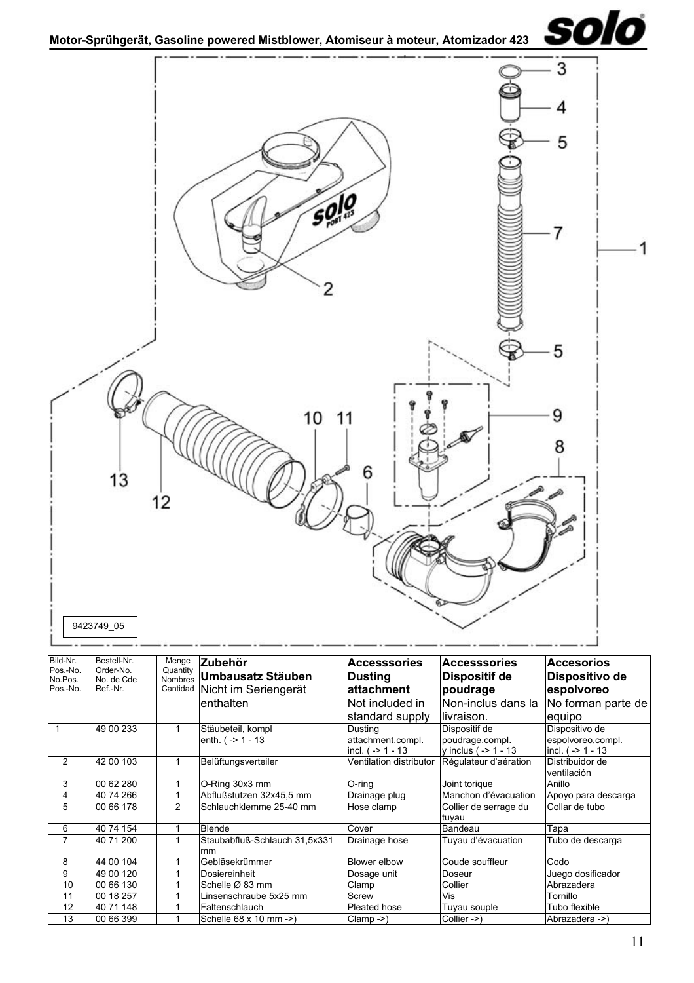<span id="page-10-0"></span>

| Bild-Nr.<br>Pos.-No. | Bestell-Nr.<br>Order-No. | Menge          | lZubehör                                | <b>Accesssories</b>                                       | <b>Accesssories</b>                                          | <b>Accesorios</b>                                          |
|----------------------|--------------------------|----------------|-----------------------------------------|-----------------------------------------------------------|--------------------------------------------------------------|------------------------------------------------------------|
| No.Pos.              | No. de Cde               | Quantity       | Nombres Umbausatz Stäuben               | Dusting                                                   | <b>Dispositif de</b>                                         | Dispositivo de                                             |
| Pos.-No.             | Ref.-Nr.                 | Cantidad       | Nicht im Seriengerät                    | lattachment                                               | poudrage                                                     | espolvoreo                                                 |
|                      |                          |                | lenthalten                              | lNot included in                                          | Non-inclus dans la                                           | No forman parte de                                         |
|                      |                          |                |                                         | standard supply                                           | livraison.                                                   | equipo                                                     |
|                      | 49 00 233                | 1              | Stäubeteil, kompl<br>enth. $(-51 - 13)$ | Dusting<br>attachment, compl.<br>$ $ incl. ( $-$ > 1 - 13 | Dispositif de<br>poudrage, compl.<br>y inclus ( $-$ > 1 - 13 | Dispositivo de<br>espolvoreo,compl.<br>incl. $(-2)$ 1 - 13 |
| 2                    | 42 00 103                | 1              | Belüftungsverteiler                     | Ventilation distributor                                   | Régulateur d'aération                                        | Distribuidor de<br>ventilación                             |
| 3                    | 00 62 280                | 1              | O-Ring 30x3 mm                          | O-ring                                                    | Joint torique                                                | Anillo                                                     |
| 4                    | 40 74 266                |                | Abflußstutzen 32x45,5 mm                | Drainage plug                                             | Manchon d'évacuation                                         | Apoyo para descarga                                        |
| 5                    | 00 66 178                | $\overline{2}$ | Schlauchklemme 25-40 mm                 | Hose clamp                                                | Collier de serrage du<br>tuyau                               | Collar de tubo                                             |
| 6                    | 40 74 154                |                | <b>Blende</b>                           | Cover                                                     | Bandeau                                                      | Tapa                                                       |
| 7                    | 40 71 200                | 1              | Staubabfluß-Schlauch 31,5x331<br>mm     | Drainage hose                                             | Tuyau d'évacuation                                           | Tubo de descarga                                           |
| 8                    | 44 00 104                |                | Gebläsekrümmer                          | Blower elbow                                              | Coude souffleur                                              | Codo                                                       |
| 9                    | 49 00 120                |                | Dosiereinheit                           | Dosage unit                                               | Doseur                                                       | Juego dosificador                                          |
| 10                   | 00 66 130                |                | Schelle Ø 83 mm                         | Clamp                                                     | Collier                                                      | Abrazadera                                                 |
| 11                   | 00 18 257                |                | Linsenschraube 5x25 mm                  | Screw                                                     | Vis                                                          | Tornillo                                                   |
| 12                   | 40 71 148                |                | Faltenschlauch                          | Pleated hose                                              | Tuyau souple                                                 | Tubo flexible                                              |
| 13                   | 00 66 399                |                | Schelle 68 x 10 mm ->)                  | $Clamp - >$ )                                             | Collier ->)                                                  | Abrazadera ->)                                             |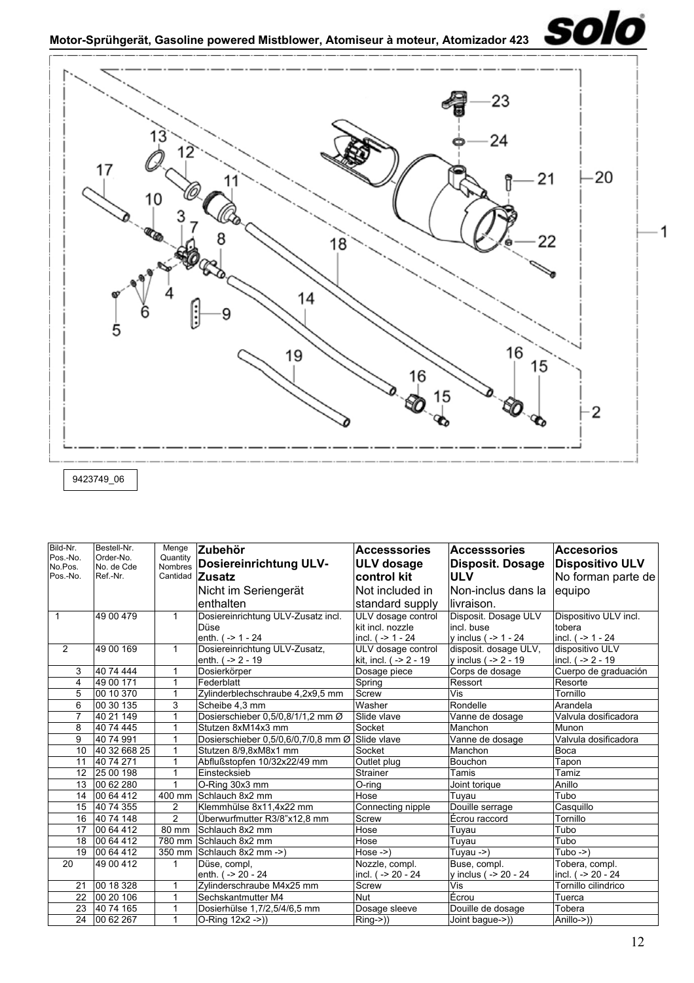<span id="page-11-0"></span>

| Bild-Nr.            | Bestell-Nr.             | Menge                      | Zubehör                                         | <b>Accesssories</b>                    | <b>Accesssories</b>                | <b>Accesorios</b>               |
|---------------------|-------------------------|----------------------------|-------------------------------------------------|----------------------------------------|------------------------------------|---------------------------------|
| Pos.-No.<br>No.Pos. | Order-No.<br>No. de Cde | Quantity<br><b>Nombres</b> | <b>Dosiereinrichtung ULV-</b>                   | <b>ULV</b> dosage                      | <b>Disposit. Dosage</b>            | <b>Dispositivo ULV</b>          |
| Pos.-No.            | Ref.-Nr.                |                            | Cantidad Zusatz                                 | control kit                            | <b>ULV</b>                         | No forman parte de              |
|                     |                         |                            | Nicht im Seriengerät                            | Not included in                        | lNon-inclus dans la                | equipo                          |
|                     |                         |                            | enthalten                                       | standard supply                        | llivraison.                        |                                 |
| $\mathbf{1}$        | 49 00 479               | $\mathbf{1}$               |                                                 |                                        |                                    |                                 |
|                     |                         |                            | Dosiereinrichtung ULV-Zusatz incl.<br>Düse      | ULV dosage control<br>kit incl. nozzle | Disposit. Dosage ULV<br>incl. buse | Dispositivo ULV incl.<br>tobera |
|                     |                         |                            | enth. $( -24)$                                  | incl. (-> 1 - 24                       | y inclus ( $-$ > 1 - 24            | incl. $( -24)$                  |
| 2                   | 49 00 169               | $\mathbf{1}$               | Dosiereinrichtung ULV-Zusatz,                   | ULV dosage control                     | disposit. dosage ULV,              | dispositivo ULV                 |
|                     |                         |                            | enth. $( -2 - 19)$                              | kit, incl. ( -> 2 - 19                 | y inclus ( $-$ 2 - 19              | incl. ( -> 2 - 19               |
| 3                   | 40 74 444               |                            | Dosierkörper                                    | Dosage piece                           | Corps de dosage                    | Cuerpo de graduación            |
| 4                   | 49 00 171               | 1                          | Federblatt                                      | Spring                                 | Ressort                            | Resorte                         |
| 5                   | 00 10 370               | 1                          | Zylinderblechschraube 4,2x9,5 mm                | Screw                                  | Vis                                | Tornillo                        |
| 6                   | 00 30 135               | 3                          | Scheibe 4.3 mm                                  | Washer                                 | Rondelle                           | Arandela                        |
| 7                   | 40 21 149               |                            | Dosierschieber 0,5/0,8/1/1,2 mm Ø               | Slide vlave                            | Vanne de dosage                    | Valvula dosificadora            |
| 8                   | 40 74 445               |                            | Stutzen 8xM14x3 mm                              | Socket                                 | Manchon                            | Munon                           |
| 9                   | 40 74 991               |                            | Dosierschieber 0,5/0,6/0,7/0,8 mm Ø Slide vlave |                                        | Vanne de dosage                    | Valvula dosificadora            |
| 10                  | 40 32 668 25            | 1                          | Stutzen 8/9,8xM8x1 mm                           | Socket                                 | Manchon                            | Boca                            |
| 11                  | 40 74 271               | 1                          | Abflußstopfen 10/32x22/49 mm                    | Outlet plug                            | Bouchon                            | Tapon                           |
| 12 <sup>2</sup>     | 25 00 198               | 1                          | Einstecksieb                                    | Strainer                               | Tamis                              | Tamiz                           |
| 13                  | 00 62 280               | 1                          | O-Ring 30x3 mm                                  | O-ring                                 | Joint torique                      | Anillo                          |
| 14                  | 00 64 412               | 400 mm                     | Schlauch 8x2 mm                                 | Hose                                   | Tuyau                              | Tubo                            |
| 15                  | 40 74 355               | $\overline{2}$             | Klemmhülse 8x11,4x22 mm                         | Connecting nipple                      | Douille serrage                    | Casquillo                       |
| 16                  | 40 74 148               | $\overline{2}$             | Überwurfmutter R3/8"x12,8 mm                    | Screw                                  | Écrou raccord                      | Tornillo                        |
| 17                  | 00 64 412               | 80 mm                      | Schlauch 8x2 mm                                 | Hose                                   | Tuyau                              | Tubo                            |
| 18                  | 00 64 412               | 780 mm                     | Schlauch 8x2 mm                                 | Hose                                   | Tuvau                              | Tubo                            |
| 19                  | 00 64 412               | 350 mm                     | Schlauch 8x2 mm ->)                             | $Hose \rightarrow$                     | Tuyau ->)                          | Tubo $-$ >)                     |
| 20                  | 49 00 412               | $\mathbf{1}$               | Düse, compl,                                    | Nozzle, compl.                         | Buse, compl.                       | Tobera, compl.                  |
|                     |                         |                            | enth. ( -> 20 - 24                              | incl. (-> 20 - 24                      | y inclus ( -> 20 - 24              | incl. ( -> 20 - 24              |
| 21                  | 00 18 328               | 1                          | Zylinderschraube M4x25 mm                       | Screw                                  | Vis                                | Tornillo cilindrico             |
| 22                  | 00 20 106               | 1                          | Sechskantmutter M4                              | <b>Nut</b>                             | Ecrou                              | Tuerca                          |
| 23                  | 40 74 165               |                            | Dosierhülse 1,7/2,5/4/6,5 mm                    | Dosage sleeve                          | Douille de dosage                  | Tobera                          |
| 24                  | 00 62 267               | 1                          | O-Ring 12x2 ->))                                | Ring->))                               | Joint baque->))                    | Anillo->))                      |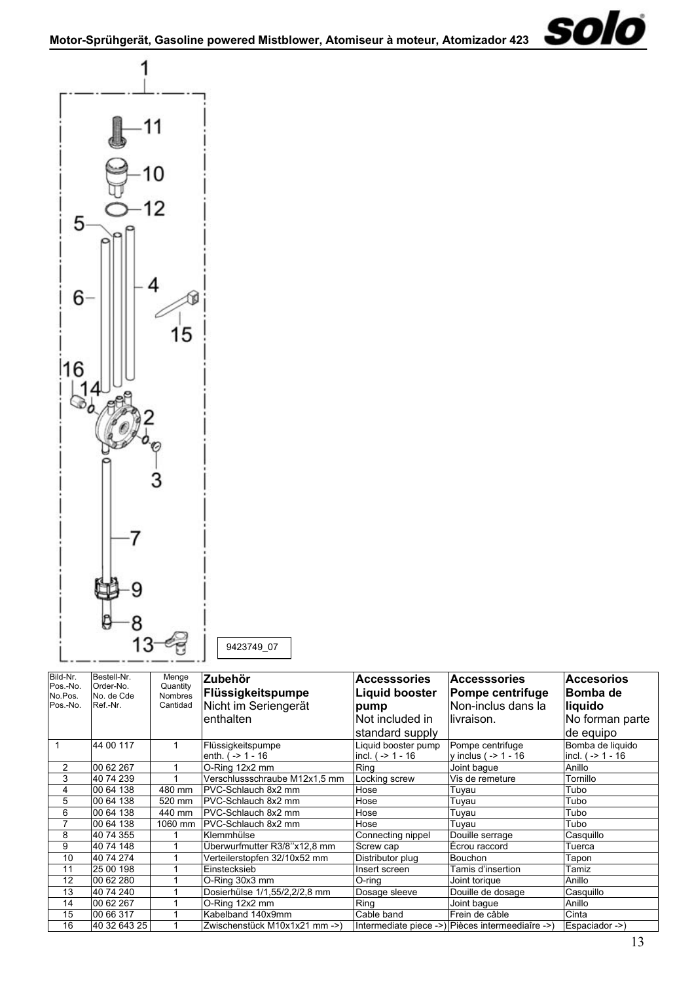

<span id="page-12-0"></span>

9423749\_07

| Bild-Nr.<br>Pos.-No. | Bestell-Nr.<br>Order-No. | Menge<br>Quantity   | <b>Zubehör</b><br>Flüssigkeitspumpe       | <b>Accesssories</b><br><b>Liquid booster</b> | <b>Accesssories</b><br><b>Pompe centrifuge</b>   | <b>Accesorios</b><br>∣Bomba de          |
|----------------------|--------------------------|---------------------|-------------------------------------------|----------------------------------------------|--------------------------------------------------|-----------------------------------------|
| No.Pos.<br>Pos.-No.  | No. de Cde<br>Ref.-Nr.   | Nombres<br>Cantidad | Nicht im Seriengerät                      | pump                                         | Non-inclus dans la                               | liquido                                 |
|                      |                          |                     | lenthalten                                | Not included in                              | llivraison.                                      | No forman parte                         |
|                      |                          |                     |                                           | standard supply                              |                                                  | de equipo                               |
|                      | 44 00 117                |                     | Flüssigkeitspumpe<br>enth. $( -2 1 - 16 $ | Liquid booster pump<br>incl. $( -2 1 - 16$   | Pompe centrifuge<br>y inclus ( $-$ > 1 - 16      | Bomba de liquido<br>incl. $( -2 1 - 16$ |
| 2                    | 00 62 267                |                     | O-Ring 12x2 mm                            | Ring                                         | Joint baque                                      | Anillo                                  |
| 3                    | 40 74 239                |                     | Verschlussschraube M12x1,5 mm             | Locking screw                                | Vis de remeture                                  | Tornillo                                |
| 4                    | 00 64 138                | 480 mm              | PVC-Schlauch 8x2 mm                       | Hose                                         | Tuyau                                            | Tubo                                    |
| 5                    | 00 64 138                | 520 mm              | PVC-Schlauch 8x2 mm                       | Hose                                         | Tuyau                                            | Tubo                                    |
| 6                    | 00 64 138                | 440 mm              | IPVC-Schlauch 8x2 mm                      | Hose                                         | Tuyau                                            | Tubo                                    |
| 7                    | 00 64 138                | 1060 mm             | <b>PVC-Schlauch 8x2 mm</b>                | Hose                                         | Tuyau                                            | Tubo                                    |
| 8                    | 40 74 355                |                     | Klemmhülse                                | Connecting nippel                            | Douille serrage                                  | Casquillo                               |
| 9                    | 40 74 148                |                     | Überwurfmutter R3/8"x12,8 mm              | Screw cap                                    | Écrou raccord                                    | Tuerca                                  |
| 10                   | 40 74 274                |                     | Verteilerstopfen 32/10x52 mm              | Distributor plug                             | Bouchon                                          | Tapon                                   |
| 11                   | 25 00 198                |                     | Einstecksieb                              | Insert screen                                | Tamis d'insertion                                | Tamiz                                   |
| 12                   | 00 62 280                |                     | O-Ring 30x3 mm                            | O-rina                                       | Joint torique                                    | Anillo                                  |
| 13                   | 40 74 240                |                     | Dosierhülse 1/1,55/2,2/2,8 mm             | Dosage sleeve                                | Douille de dosage                                | Casquillo                               |
| 14                   | 00 62 267                |                     | O-Ring 12x2 mm                            | Ring                                         | Joint baque                                      | Anillo                                  |
| 15                   | 00 66 317                |                     | Kabelband 140x9mm                         | Cable band                                   | Frein de câble                                   | Cinta                                   |
| 16                   | 40 32 643 25             |                     | Zwischenstück M10x1x21 mm ->)             |                                              | Intermediate piece ->) Pièces intermeediaîre ->) | Espaciador ->)                          |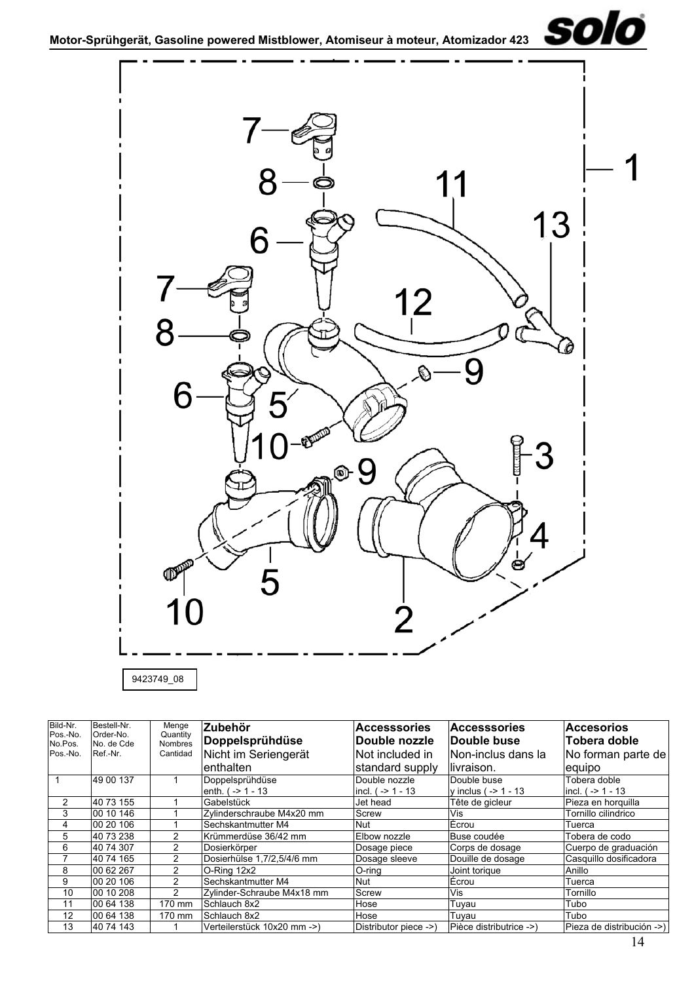<span id="page-13-0"></span>



9423749\_08

| Bild-Nr.            | Bestell-Nr.             | Menge                      | Zubehör                     | <b>Accesssories</b>   | <b>Accesssories</b>     | <b>Accesorios</b>         |  |
|---------------------|-------------------------|----------------------------|-----------------------------|-----------------------|-------------------------|---------------------------|--|
| Pos.-No.<br>No.Pos. | Order-No.<br>No. de Cde | Quantity<br><b>Nombres</b> | Doppelsprühdüse             | Double nozzle         | Double buse             | Tobera doble              |  |
| Pos.-No.            | Ref.-Nr.                | Cantidad                   | Nicht im Seriengerät        | INot included in      | Non-inclus dans la      | No forman parte de        |  |
|                     |                         |                            | lenthalten                  | standard supply       | llivraison.             | equipo                    |  |
|                     | 49 00 137               |                            | Doppelsprühdüse             | Double nozzle         | Double buse             | Tobera doble              |  |
|                     |                         |                            | enth. $( -2 1 - 13 )$       | incl. $( -2 1 - 13$   | v inclus $( -2 1 - 13 $ | lincl. ( -> 1 - 13        |  |
|                     | 40 73 155               |                            | Gabelstück                  | Jet head              | Tête de gicleur         | Pieza en horguilla        |  |
| 3                   | 00 10 146               |                            | Zvlinderschraube M4x20 mm   | <b>Screw</b>          | Vis                     | Tornillo cilindrico       |  |
| 4                   | 00 20 106               |                            | Sechskantmutter M4          | <b>Nut</b>            | Écrou                   | Tuerca                    |  |
| 5                   | 40 73 238               | 2                          | Krümmerdüse 36/42 mm        | Elbow nozzle          | Buse coudée             | Tobera de codo            |  |
| 6                   | 40 74 307               | 2                          | Dosierkörper                | Dosage piece          | Corps de dosage         | Cuerpo de graduación      |  |
|                     | 40 74 165               | 2                          | Dosierhülse 1,7/2,5/4/6 mm  | Dosage sleeve         | Douille de dosage       | Casquillo dosificadora    |  |
| 8                   | 00 62 267               | 2                          | O-Ring 12x2                 | O-ring                | Joint torique           | Anillo                    |  |
| 9                   | 00 20 106               | 2                          | Sechskantmutter M4          | Nut                   | Écrou                   | Tuerca                    |  |
| 10                  | 00 10 208               | 2                          | Zylinder-Schraube M4x18 mm  | Screw                 | Vis                     | Tornillo                  |  |
| 11                  | 00 64 138               | 170 mm                     | Schlauch 8x2                | Hose                  | Tuyau                   | Tubo                      |  |
| 12                  | 00 64 138               | 170 mm                     | Schlauch 8x2                | Hose                  | Tuyau                   | Tubo                      |  |
| 13                  | 40 74 143               |                            | Verteilerstück 10x20 mm ->) | Distributor piece ->) | Pièce distributrice ->) | Pieza de distribución ->) |  |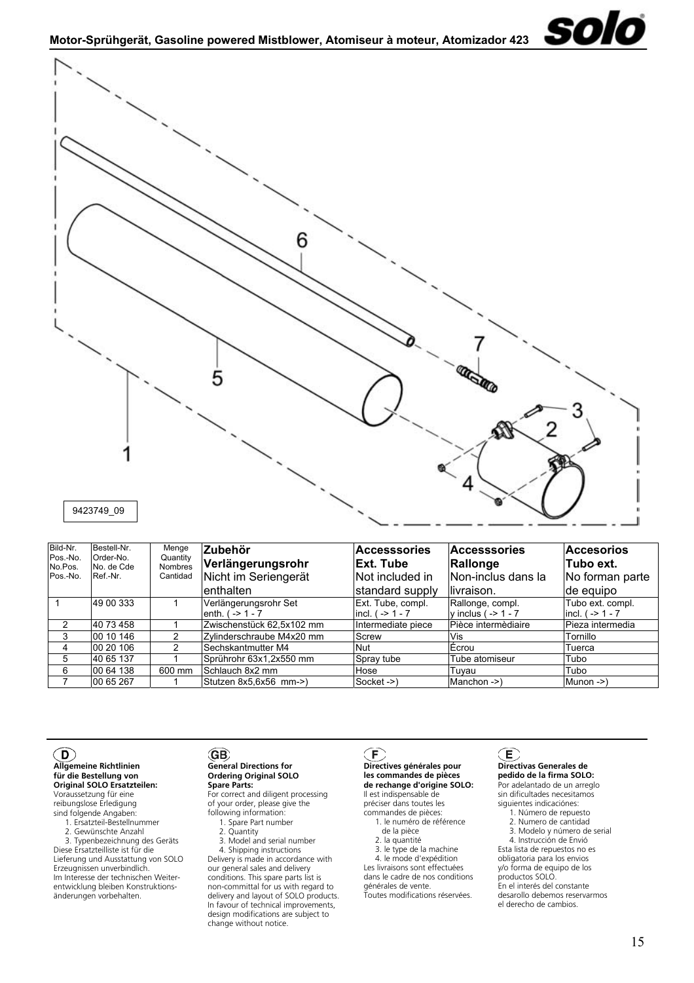<span id="page-14-0"></span>

<span id="page-14-1"></span>

| Bild-Nr.            | Bestell-Nr.             | Menge                      | <b>Zubehör</b>            | <b>Accesssories</b>  | <b>Accesssories</b>      | <b>Accesorios</b>       |  |
|---------------------|-------------------------|----------------------------|---------------------------|----------------------|--------------------------|-------------------------|--|
| Pos.-No.<br>No.Pos. | Order-No.<br>No. de Cde | Quantity<br><b>Nombres</b> | Verlängerungsrohr         | <b>Ext. Tube</b>     | Rallonge                 | lTubo ext.              |  |
| Pos.-No.            | Ref.-Nr.                | Cantidad                   | Nicht im Seriengerät      | Not included in      | Non-inclus dans la       | No forman parte         |  |
|                     |                         |                            | enthalten                 | standard supply      | llivraison.              | de equipo               |  |
|                     | 49 00 333               |                            | Verlängerungsrohr Set     | Ext. Tube, compl.    | Rallonge, compl.         | Tubo ext. compl.        |  |
|                     |                         |                            | enth. $( -2 1 - 7)$       | $ $ incl. ( -> 1 - 7 | $v$ inclus ( $-$ > 1 - 7 | $ $ incl. $( -2 1 - 7)$ |  |
|                     | 40 73 458               |                            | Zwischenstück 62,5x102 mm | Intermediate piece   | Pièce intermèdiaire      | Pieza intermedia        |  |
| 3                   | 00 10 146               |                            | Zylinderschraube M4x20 mm | Screw                | Vis                      | Tornillo                |  |
| 4                   | 00 20 106               |                            | Sechskantmutter M4        | Nut                  | Écrou                    | Tuerca                  |  |
| 5                   | 40 65 137               |                            | Sprührohr 63x1,2x550 mm   | Spray tube           | Tube atomiseur           | Tubo                    |  |
| 6                   | 00 64 138               | 600 mm                     | Schlauch 8x2 mm           | Hose                 | Tuyau                    | Tubo                    |  |
|                     | 00 65 267               |                            | Stutzen 8x5,6x56 mm->)    | Socket ->)           | Manchon ->)              | $M$ unon -> $)$         |  |

## $\mathsf{(D)}$

#### **Allgemeine Richtlinien für die Bestellung von Original SOLO Ersatzteilen:**

Voraussetzung für eine reibungslose Erledigung sind folgende Angaben:

1. Ersatzteil-Bestellnummer

2. Gewünschte Anzahl

 3. Typenbezeichnung des Geräts Diese Ersatzteilliste ist für die Lieferung und Ausstattung von SOLO Erzeugnissen unverbindlich. Im Interesse der technischen Weiterentwicklung bleiben Konstruktionsänderungen vorbehalten.

#### (GB) **General Directions for Ordering Original SOLO Spare Parts:**

For correct and diligent processing of your order, please give the following information:

- 1. Spare Part number
- 2. Quantity

 3. Model and serial number 4. Shipping instructions Delivery is made in accordance with our general sales and delivery conditions. This spare parts list is non-committal for us with regard to delivery and layout of SOLO products. In favour of technical improvements, design modifications are subject to change without notice.

# $\mathsf{(F)}$

**Directives générales pour les commandes de pièces de rechange d'origine SOLO:** Il est indispensable de préciser dans toutes les

- commandes de pièces: 1. le numéro de référence
	- de la pièce
	- 2. la quantité
- 3. le type de la machine 4. le mode d'expédition

Les livraisons sont effectuées dans le cadre de nos conditions

générales de vente. Toutes modifications réservées.

# $(\mathsf{E})$

#### **Directivas Generales de pedido de la firma SOLO:**

Por adelantado de un arreglo sin dificultades necesitamos siguientes indicaciónes:

- 1. Número de repuesto
- 2. Numero de cantidad

solo

 3. Modelo y número de serial 4. Instrucción de Envió Esta lista de repuestos no es obligatoria para los envios y/o forma de equipo de los productos SOLO. En el interés del constante desarollo debemos reservarmos el derecho de cambios.